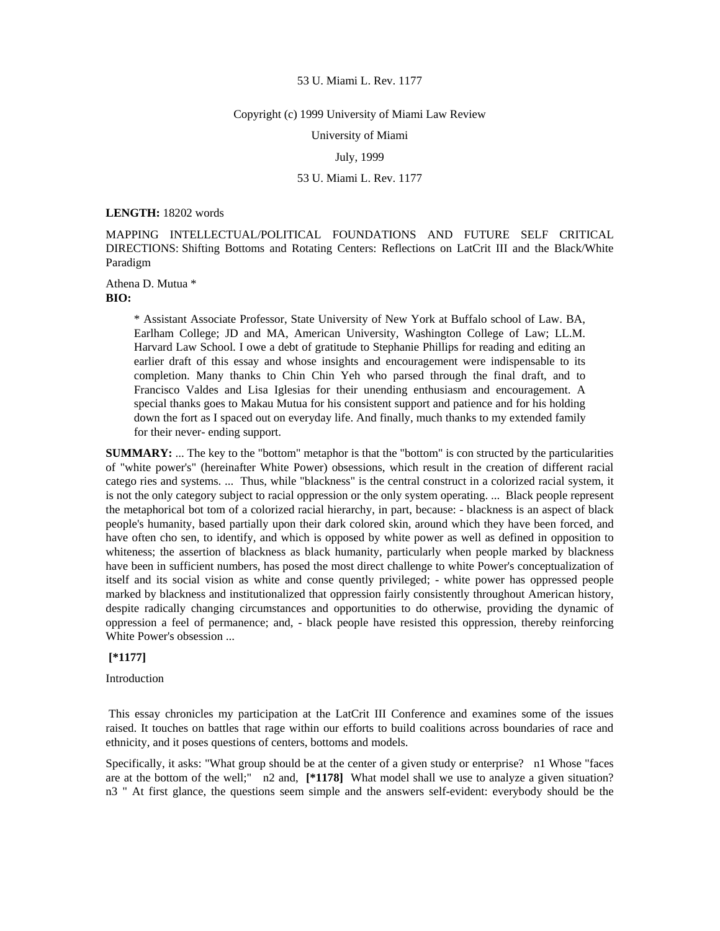#### Copyright (c) 1999 University of Miami Law Review

University of Miami

## July, 1999

## 53 U. Miami L. Rev. 1177

#### **LENGTH:** 18202 words

MAPPING INTELLECTUAL/POLITICAL FOUNDATIONS AND FUTURE SELF CRITICAL DIRECTIONS: Shifting Bottoms and Rotating Centers: Reflections on LatCrit III and the Black/White Paradigm

Athena D. Mutua \* **BIO:** 

> \* Assistant Associate Professor, State University of New York at Buffalo school of Law. BA, Earlham College; JD and MA, American University, Washington College of Law; LL.M. Harvard Law School. I owe a debt of gratitude to Stephanie Phillips for reading and editing an earlier draft of this essay and whose insights and encouragement were indispensable to its completion. Many thanks to Chin Chin Yeh who parsed through the final draft, and to Francisco Valdes and Lisa Iglesias for their unending enthusiasm and encouragement. A special thanks goes to Makau Mutua for his consistent support and patience and for his holding down the fort as I spaced out on everyday life. And finally, much thanks to my extended family for their never- ending support.

**SUMMARY:** ... The key to the "bottom" metaphor is that the "bottom" is con structed by the particularities of "white power's" (hereinafter White Power) obsessions, which result in the creation of different racial catego ries and systems. ... Thus, while "blackness" is the central construct in a colorized racial system, it is not the only category subject to racial oppression or the only system operating. ... Black people represent the metaphorical bot tom of a colorized racial hierarchy, in part, because: - blackness is an aspect of black people's humanity, based partially upon their dark colored skin, around which they have been forced, and have often cho sen, to identify, and which is opposed by white power as well as defined in opposition to whiteness; the assertion of blackness as black humanity, particularly when people marked by blackness have been in sufficient numbers, has posed the most direct challenge to white Power's conceptualization of itself and its social vision as white and conse quently privileged; - white power has oppressed people marked by blackness and institutionalized that oppression fairly consistently throughout American history, despite radically changing circumstances and opportunities to do otherwise, providing the dynamic of oppression a feel of permanence; and, - black people have resisted this oppression, thereby reinforcing White Power's obsession ...

## **[\*1177]**

Introduction

 This essay chronicles my participation at the LatCrit III Conference and examines some of the issues raised. It touches on battles that rage within our efforts to build coalitions across boundaries of race and ethnicity, and it poses questions of centers, bottoms and models.

Specifically, it asks: "What group should be at the center of a given study or enterprise? n1 Whose "faces are at the bottom of the well;" n2 and, **[\*1178]** What model shall we use to analyze a given situation? n3 " At first glance, the questions seem simple and the answers self-evident: everybody should be the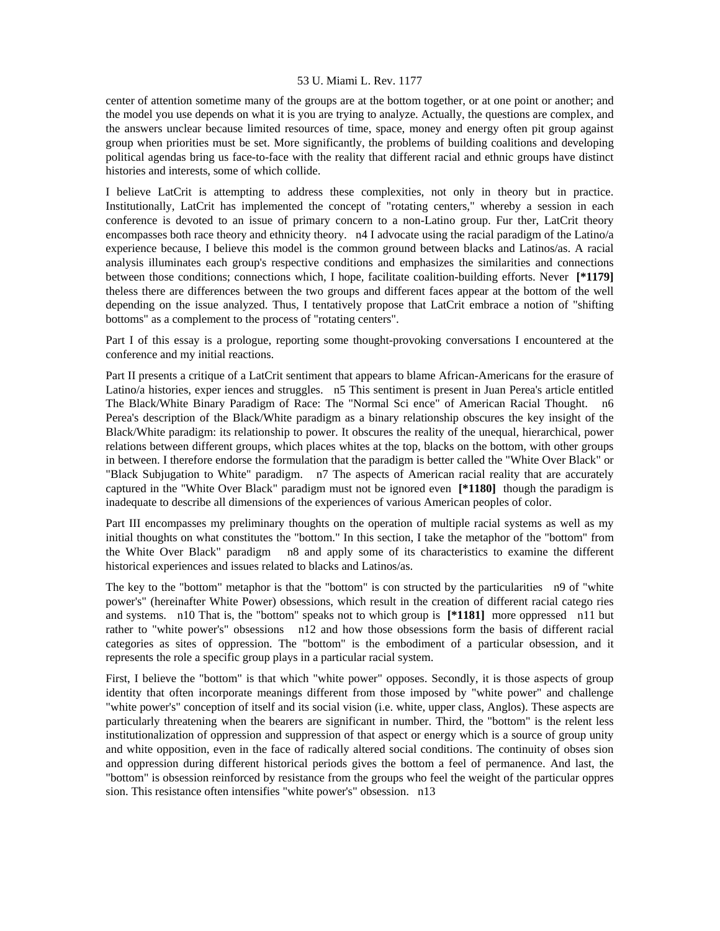center of attention sometime many of the groups are at the bottom together, or at one point or another; and the model you use depends on what it is you are trying to analyze. Actually, the questions are complex, and the answers unclear because limited resources of time, space, money and energy often pit group against group when priorities must be set. More significantly, the problems of building coalitions and developing political agendas bring us face-to-face with the reality that different racial and ethnic groups have distinct histories and interests, some of which collide.

I believe LatCrit is attempting to address these complexities, not only in theory but in practice. Institutionally, LatCrit has implemented the concept of "rotating centers," whereby a session in each conference is devoted to an issue of primary concern to a non-Latino group. Fur ther, LatCrit theory encompasses both race theory and ethnicity theory. n4 I advocate using the racial paradigm of the Latino/a experience because, I believe this model is the common ground between blacks and Latinos/as. A racial analysis illuminates each group's respective conditions and emphasizes the similarities and connections between those conditions; connections which, I hope, facilitate coalition-building efforts. Never **[\*1179]**  theless there are differences between the two groups and different faces appear at the bottom of the well depending on the issue analyzed. Thus, I tentatively propose that LatCrit embrace a notion of "shifting bottoms" as a complement to the process of "rotating centers".

Part I of this essay is a prologue, reporting some thought-provoking conversations I encountered at the conference and my initial reactions.

Part II presents a critique of a LatCrit sentiment that appears to blame African-Americans for the erasure of Latino/a histories, exper iences and struggles. n5 This sentiment is present in Juan Perea's article entitled The Black/White Binary Paradigm of Race: The "Normal Sci ence" of American Racial Thought. n6 Perea's description of the Black/White paradigm as a binary relationship obscures the key insight of the Black/White paradigm: its relationship to power. It obscures the reality of the unequal, hierarchical, power relations between different groups, which places whites at the top, blacks on the bottom, with other groups in between. I therefore endorse the formulation that the paradigm is better called the "White Over Black" or "Black Subjugation to White" paradigm. n7 The aspects of American racial reality that are accurately captured in the "White Over Black" paradigm must not be ignored even **[\*1180]** though the paradigm is inadequate to describe all dimensions of the experiences of various American peoples of color.

Part III encompasses my preliminary thoughts on the operation of multiple racial systems as well as my initial thoughts on what constitutes the "bottom." In this section, I take the metaphor of the "bottom" from the White Over Black" paradigm n8 and apply some of its characteristics to examine the different historical experiences and issues related to blacks and Latinos/as.

The key to the "bottom" metaphor is that the "bottom" is con structed by the particularities n9 of "white power's" (hereinafter White Power) obsessions, which result in the creation of different racial catego ries and systems. n10 That is, the "bottom" speaks not to which group is **[\*1181]** more oppressed n11 but rather to "white power's" obsessions n12 and how those obsessions form the basis of different racial categories as sites of oppression. The "bottom" is the embodiment of a particular obsession, and it represents the role a specific group plays in a particular racial system.

First, I believe the "bottom" is that which "white power" opposes. Secondly, it is those aspects of group identity that often incorporate meanings different from those imposed by "white power" and challenge "white power's" conception of itself and its social vision (i.e. white, upper class, Anglos). These aspects are particularly threatening when the bearers are significant in number. Third, the "bottom" is the relent less institutionalization of oppression and suppression of that aspect or energy which is a source of group unity and white opposition, even in the face of radically altered social conditions. The continuity of obses sion and oppression during different historical periods gives the bottom a feel of permanence. And last, the "bottom" is obsession reinforced by resistance from the groups who feel the weight of the particular oppres sion. This resistance often intensifies "white power's" obsession. n13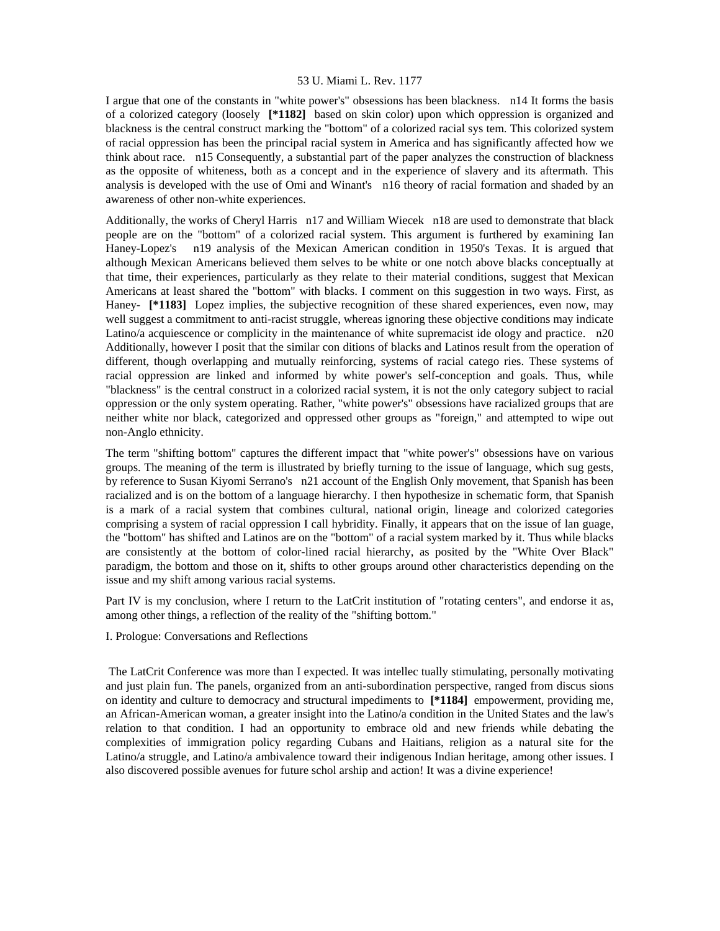I argue that one of the constants in "white power's" obsessions has been blackness. n14 It forms the basis of a colorized category (loosely **[\*1182]** based on skin color) upon which oppression is organized and blackness is the central construct marking the "bottom" of a colorized racial sys tem. This colorized system of racial oppression has been the principal racial system in America and has significantly affected how we think about race. n15 Consequently, a substantial part of the paper analyzes the construction of blackness as the opposite of whiteness, both as a concept and in the experience of slavery and its aftermath. This analysis is developed with the use of Omi and Winant's n16 theory of racial formation and shaded by an awareness of other non-white experiences.

Additionally, the works of Cheryl Harris n17 and William Wiecek n18 are used to demonstrate that black people are on the "bottom" of a colorized racial system. This argument is furthered by examining Ian Haney-Lopez's n19 analysis of the Mexican American condition in 1950's Texas. It is argued that although Mexican Americans believed them selves to be white or one notch above blacks conceptually at that time, their experiences, particularly as they relate to their material conditions, suggest that Mexican Americans at least shared the "bottom" with blacks. I comment on this suggestion in two ways. First, as Haney- **[\*1183]** Lopez implies, the subjective recognition of these shared experiences, even now, may well suggest a commitment to anti-racist struggle, whereas ignoring these objective conditions may indicate Latino/a acquiescence or complicity in the maintenance of white supremacist ide ology and practice. n20 Additionally, however I posit that the similar con ditions of blacks and Latinos result from the operation of different, though overlapping and mutually reinforcing, systems of racial catego ries. These systems of racial oppression are linked and informed by white power's self-conception and goals. Thus, while "blackness" is the central construct in a colorized racial system, it is not the only category subject to racial oppression or the only system operating. Rather, "white power's" obsessions have racialized groups that are neither white nor black, categorized and oppressed other groups as "foreign," and attempted to wipe out non-Anglo ethnicity.

The term "shifting bottom" captures the different impact that "white power's" obsessions have on various groups. The meaning of the term is illustrated by briefly turning to the issue of language, which sug gests, by reference to Susan Kiyomi Serrano's n21 account of the English Only movement, that Spanish has been racialized and is on the bottom of a language hierarchy. I then hypothesize in schematic form, that Spanish is a mark of a racial system that combines cultural, national origin, lineage and colorized categories comprising a system of racial oppression I call hybridity. Finally, it appears that on the issue of lan guage, the "bottom" has shifted and Latinos are on the "bottom" of a racial system marked by it. Thus while blacks are consistently at the bottom of color-lined racial hierarchy, as posited by the "White Over Black" paradigm, the bottom and those on it, shifts to other groups around other characteristics depending on the issue and my shift among various racial systems.

Part IV is my conclusion, where I return to the LatCrit institution of "rotating centers", and endorse it as, among other things, a reflection of the reality of the "shifting bottom."

I. Prologue: Conversations and Reflections

 The LatCrit Conference was more than I expected. It was intellec tually stimulating, personally motivating and just plain fun. The panels, organized from an anti-subordination perspective, ranged from discus sions on identity and culture to democracy and structural impediments to **[\*1184]** empowerment, providing me, an African-American woman, a greater insight into the Latino/a condition in the United States and the law's relation to that condition. I had an opportunity to embrace old and new friends while debating the complexities of immigration policy regarding Cubans and Haitians, religion as a natural site for the Latino/a struggle, and Latino/a ambivalence toward their indigenous Indian heritage, among other issues. I also discovered possible avenues for future schol arship and action! It was a divine experience!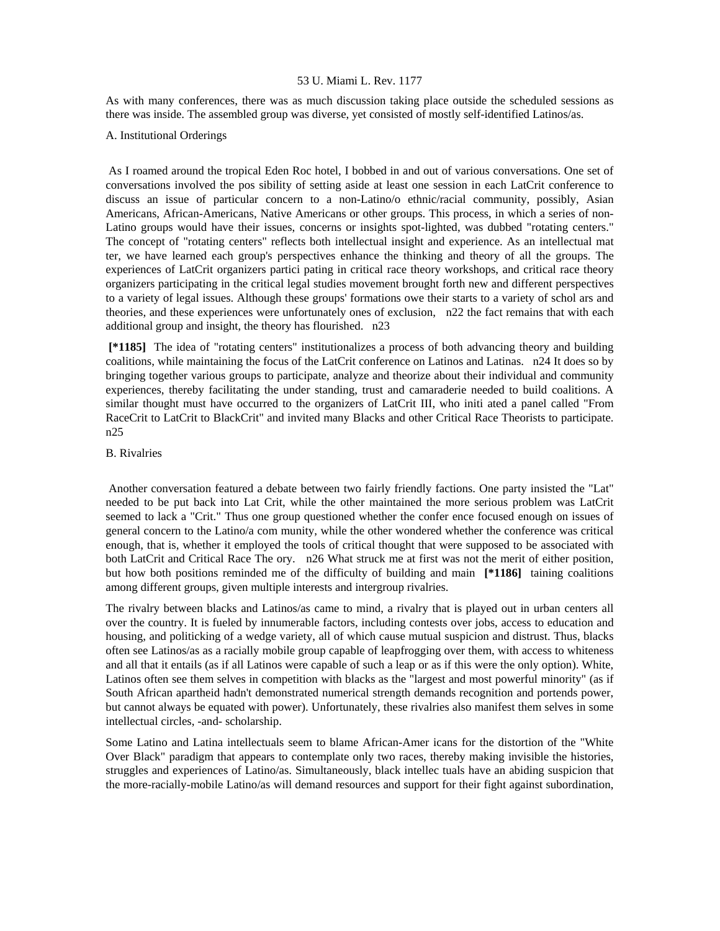As with many conferences, there was as much discussion taking place outside the scheduled sessions as there was inside. The assembled group was diverse, yet consisted of mostly self-identified Latinos/as.

# A. Institutional Orderings

 As I roamed around the tropical Eden Roc hotel, I bobbed in and out of various conversations. One set of conversations involved the pos sibility of setting aside at least one session in each LatCrit conference to discuss an issue of particular concern to a non-Latino/o ethnic/racial community, possibly, Asian Americans, African-Americans, Native Americans or other groups. This process, in which a series of non-Latino groups would have their issues, concerns or insights spot-lighted, was dubbed "rotating centers." The concept of "rotating centers" reflects both intellectual insight and experience. As an intellectual mat ter, we have learned each group's perspectives enhance the thinking and theory of all the groups. The experiences of LatCrit organizers partici pating in critical race theory workshops, and critical race theory organizers participating in the critical legal studies movement brought forth new and different perspectives to a variety of legal issues. Although these groups' formations owe their starts to a variety of schol ars and theories, and these experiences were unfortunately ones of exclusion, n22 the fact remains that with each additional group and insight, the theory has flourished. n23

 **[\*1185]** The idea of "rotating centers" institutionalizes a process of both advancing theory and building coalitions, while maintaining the focus of the LatCrit conference on Latinos and Latinas. n24 It does so by bringing together various groups to participate, analyze and theorize about their individual and community experiences, thereby facilitating the under standing, trust and camaraderie needed to build coalitions. A similar thought must have occurred to the organizers of LatCrit III, who initi ated a panel called "From RaceCrit to LatCrit to BlackCrit" and invited many Blacks and other Critical Race Theorists to participate. n25

# B. Rivalries

 Another conversation featured a debate between two fairly friendly factions. One party insisted the "Lat" needed to be put back into Lat Crit, while the other maintained the more serious problem was LatCrit seemed to lack a "Crit." Thus one group questioned whether the confer ence focused enough on issues of general concern to the Latino/a com munity, while the other wondered whether the conference was critical enough, that is, whether it employed the tools of critical thought that were supposed to be associated with both LatCrit and Critical Race The ory. n26 What struck me at first was not the merit of either position, but how both positions reminded me of the difficulty of building and main **[\*1186]** taining coalitions among different groups, given multiple interests and intergroup rivalries.

The rivalry between blacks and Latinos/as came to mind, a rivalry that is played out in urban centers all over the country. It is fueled by innumerable factors, including contests over jobs, access to education and housing, and politicking of a wedge variety, all of which cause mutual suspicion and distrust. Thus, blacks often see Latinos/as as a racially mobile group capable of leapfrogging over them, with access to whiteness and all that it entails (as if all Latinos were capable of such a leap or as if this were the only option). White, Latinos often see them selves in competition with blacks as the "largest and most powerful minority" (as if South African apartheid hadn't demonstrated numerical strength demands recognition and portends power, but cannot always be equated with power). Unfortunately, these rivalries also manifest them selves in some intellectual circles, -and- scholarship.

Some Latino and Latina intellectuals seem to blame African-Amer icans for the distortion of the "White Over Black" paradigm that appears to contemplate only two races, thereby making invisible the histories, struggles and experiences of Latino/as. Simultaneously, black intellec tuals have an abiding suspicion that the more-racially-mobile Latino/as will demand resources and support for their fight against subordination,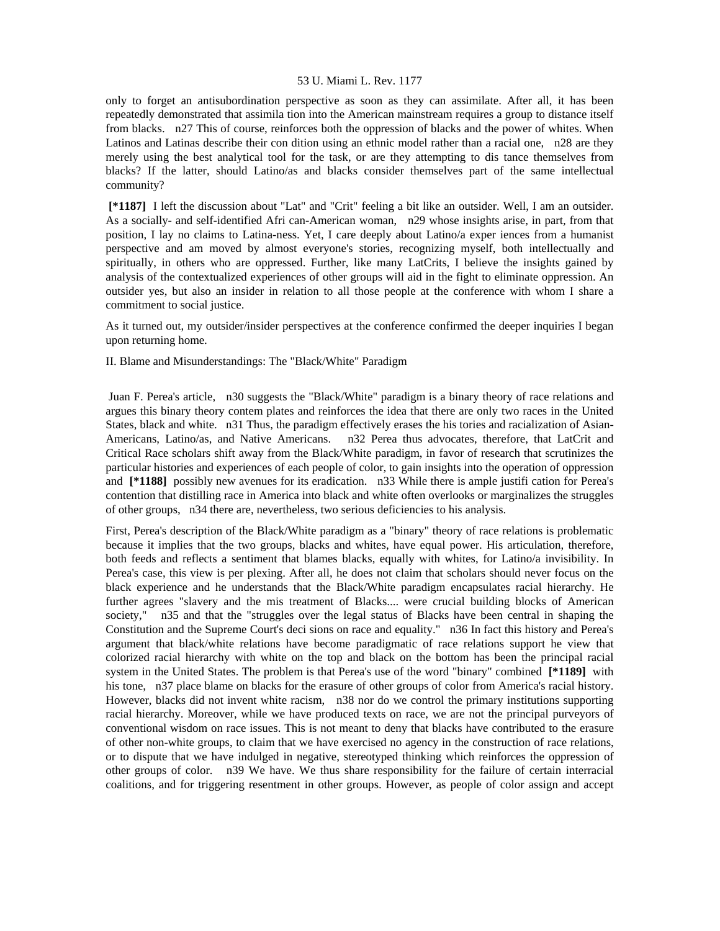only to forget an antisubordination perspective as soon as they can assimilate. After all, it has been repeatedly demonstrated that assimila tion into the American mainstream requires a group to distance itself from blacks. n27 This of course, reinforces both the oppression of blacks and the power of whites. When Latinos and Latinas describe their con dition using an ethnic model rather than a racial one, n28 are they merely using the best analytical tool for the task, or are they attempting to dis tance themselves from blacks? If the latter, should Latino/as and blacks consider themselves part of the same intellectual community?

 **[\*1187]** I left the discussion about "Lat" and "Crit" feeling a bit like an outsider. Well, I am an outsider. As a socially- and self-identified Afri can-American woman, n29 whose insights arise, in part, from that position, I lay no claims to Latina-ness. Yet, I care deeply about Latino/a exper iences from a humanist perspective and am moved by almost everyone's stories, recognizing myself, both intellectually and spiritually, in others who are oppressed. Further, like many LatCrits, I believe the insights gained by analysis of the contextualized experiences of other groups will aid in the fight to eliminate oppression. An outsider yes, but also an insider in relation to all those people at the conference with whom I share a commitment to social justice.

As it turned out, my outsider/insider perspectives at the conference confirmed the deeper inquiries I began upon returning home.

II. Blame and Misunderstandings: The "Black/White" Paradigm

 Juan F. Perea's article, n30 suggests the "Black/White" paradigm is a binary theory of race relations and argues this binary theory contem plates and reinforces the idea that there are only two races in the United States, black and white. n31 Thus, the paradigm effectively erases the his tories and racialization of Asian-Americans, Latino/as, and Native Americans. n32 Perea thus advocates, therefore, that LatCrit and Critical Race scholars shift away from the Black/White paradigm, in favor of research that scrutinizes the particular histories and experiences of each people of color, to gain insights into the operation of oppression and **[\*1188]** possibly new avenues for its eradication. n33 While there is ample justifi cation for Perea's contention that distilling race in America into black and white often overlooks or marginalizes the struggles of other groups, n34 there are, nevertheless, two serious deficiencies to his analysis.

First, Perea's description of the Black/White paradigm as a "binary" theory of race relations is problematic because it implies that the two groups, blacks and whites, have equal power. His articulation, therefore, both feeds and reflects a sentiment that blames blacks, equally with whites, for Latino/a invisibility. In Perea's case, this view is per plexing. After all, he does not claim that scholars should never focus on the black experience and he understands that the Black/White paradigm encapsulates racial hierarchy. He further agrees "slavery and the mis treatment of Blacks.... were crucial building blocks of American society," n35 and that the "struggles over the legal status of Blacks have been central in shaping the Constitution and the Supreme Court's deci sions on race and equality." n36 In fact this history and Perea's argument that black/white relations have become paradigmatic of race relations support he view that colorized racial hierarchy with white on the top and black on the bottom has been the principal racial system in the United States. The problem is that Perea's use of the word "binary" combined **[\*1189]** with his tone, n37 place blame on blacks for the erasure of other groups of color from America's racial history. However, blacks did not invent white racism, n38 nor do we control the primary institutions supporting racial hierarchy. Moreover, while we have produced texts on race, we are not the principal purveyors of conventional wisdom on race issues. This is not meant to deny that blacks have contributed to the erasure of other non-white groups, to claim that we have exercised no agency in the construction of race relations, or to dispute that we have indulged in negative, stereotyped thinking which reinforces the oppression of other groups of color. n39 We have. We thus share responsibility for the failure of certain interracial coalitions, and for triggering resentment in other groups. However, as people of color assign and accept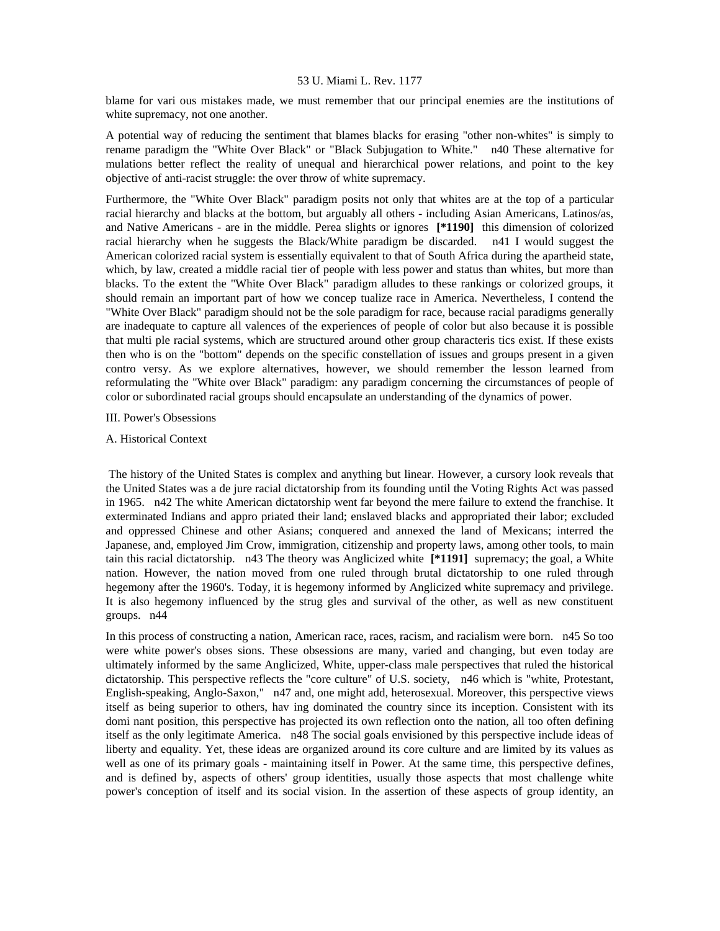blame for vari ous mistakes made, we must remember that our principal enemies are the institutions of white supremacy, not one another.

A potential way of reducing the sentiment that blames blacks for erasing "other non-whites" is simply to rename paradigm the "White Over Black" or "Black Subjugation to White." n40 These alternative for mulations better reflect the reality of unequal and hierarchical power relations, and point to the key objective of anti-racist struggle: the over throw of white supremacy.

Furthermore, the "White Over Black" paradigm posits not only that whites are at the top of a particular racial hierarchy and blacks at the bottom, but arguably all others - including Asian Americans, Latinos/as, and Native Americans - are in the middle. Perea slights or ignores **[\*1190]** this dimension of colorized racial hierarchy when he suggests the Black/White paradigm be discarded. n41 I would suggest the American colorized racial system is essentially equivalent to that of South Africa during the apartheid state, which, by law, created a middle racial tier of people with less power and status than whites, but more than blacks. To the extent the "White Over Black" paradigm alludes to these rankings or colorized groups, it should remain an important part of how we concep tualize race in America. Nevertheless, I contend the "White Over Black" paradigm should not be the sole paradigm for race, because racial paradigms generally are inadequate to capture all valences of the experiences of people of color but also because it is possible that multi ple racial systems, which are structured around other group characteris tics exist. If these exists then who is on the "bottom" depends on the specific constellation of issues and groups present in a given contro versy. As we explore alternatives, however, we should remember the lesson learned from reformulating the "White over Black" paradigm: any paradigm concerning the circumstances of people of color or subordinated racial groups should encapsulate an understanding of the dynamics of power.

### III. Power's Obsessions

### A. Historical Context

 The history of the United States is complex and anything but linear. However, a cursory look reveals that the United States was a de jure racial dictatorship from its founding until the Voting Rights Act was passed in 1965. n42 The white American dictatorship went far beyond the mere failure to extend the franchise. It exterminated Indians and appro priated their land; enslaved blacks and appropriated their labor; excluded and oppressed Chinese and other Asians; conquered and annexed the land of Mexicans; interred the Japanese, and, employed Jim Crow, immigration, citizenship and property laws, among other tools, to main tain this racial dictatorship. n43 The theory was Anglicized white **[\*1191]** supremacy; the goal, a White nation. However, the nation moved from one ruled through brutal dictatorship to one ruled through hegemony after the 1960's. Today, it is hegemony informed by Anglicized white supremacy and privilege. It is also hegemony influenced by the strug gles and survival of the other, as well as new constituent groups. n44

In this process of constructing a nation, American race, races, racism, and racialism were born. n45 So too were white power's obses sions. These obsessions are many, varied and changing, but even today are ultimately informed by the same Anglicized, White, upper-class male perspectives that ruled the historical dictatorship. This perspective reflects the "core culture" of U.S. society, n46 which is "white, Protestant, English-speaking, Anglo-Saxon," n47 and, one might add, heterosexual. Moreover, this perspective views itself as being superior to others, hav ing dominated the country since its inception. Consistent with its domi nant position, this perspective has projected its own reflection onto the nation, all too often defining itself as the only legitimate America. n48 The social goals envisioned by this perspective include ideas of liberty and equality. Yet, these ideas are organized around its core culture and are limited by its values as well as one of its primary goals - maintaining itself in Power. At the same time, this perspective defines, and is defined by, aspects of others' group identities, usually those aspects that most challenge white power's conception of itself and its social vision. In the assertion of these aspects of group identity, an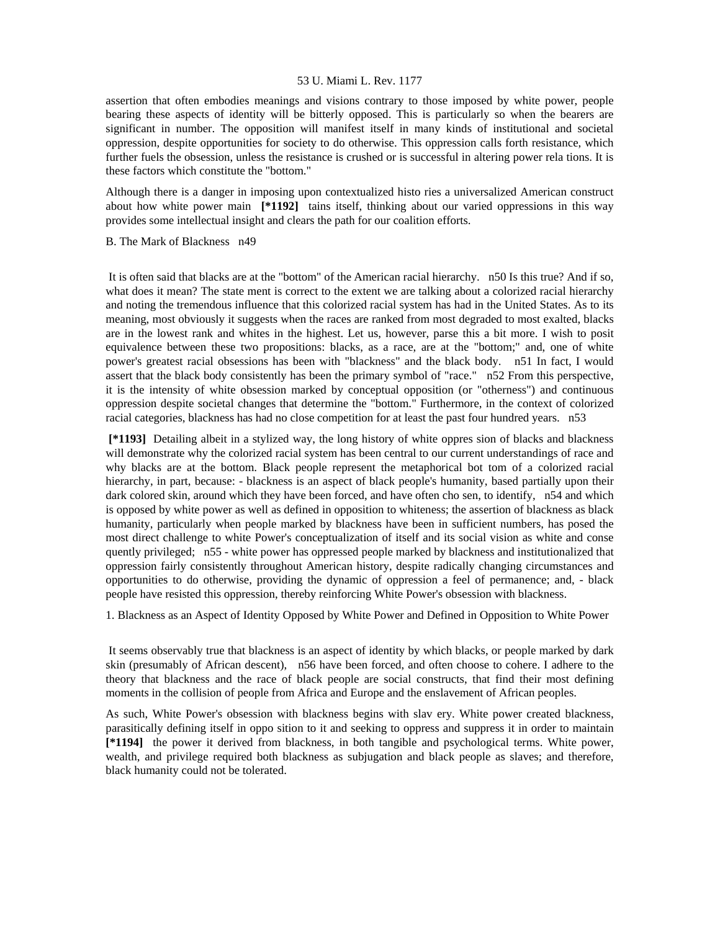assertion that often embodies meanings and visions contrary to those imposed by white power, people bearing these aspects of identity will be bitterly opposed. This is particularly so when the bearers are significant in number. The opposition will manifest itself in many kinds of institutional and societal oppression, despite opportunities for society to do otherwise. This oppression calls forth resistance, which further fuels the obsession, unless the resistance is crushed or is successful in altering power rela tions. It is these factors which constitute the "bottom."

Although there is a danger in imposing upon contextualized histo ries a universalized American construct about how white power main **[\*1192]** tains itself, thinking about our varied oppressions in this way provides some intellectual insight and clears the path for our coalition efforts.

B. The Mark of Blackness n49

 It is often said that blacks are at the "bottom" of the American racial hierarchy. n50 Is this true? And if so, what does it mean? The state ment is correct to the extent we are talking about a colorized racial hierarchy and noting the tremendous influence that this colorized racial system has had in the United States. As to its meaning, most obviously it suggests when the races are ranked from most degraded to most exalted, blacks are in the lowest rank and whites in the highest. Let us, however, parse this a bit more. I wish to posit equivalence between these two propositions: blacks, as a race, are at the "bottom;" and, one of white power's greatest racial obsessions has been with "blackness" and the black body. n51 In fact, I would assert that the black body consistently has been the primary symbol of "race." n52 From this perspective, it is the intensity of white obsession marked by conceptual opposition (or "otherness") and continuous oppression despite societal changes that determine the "bottom." Furthermore, in the context of colorized racial categories, blackness has had no close competition for at least the past four hundred years. n53

 **[\*1193]** Detailing albeit in a stylized way, the long history of white oppres sion of blacks and blackness will demonstrate why the colorized racial system has been central to our current understandings of race and why blacks are at the bottom. Black people represent the metaphorical bot tom of a colorized racial hierarchy, in part, because: - blackness is an aspect of black people's humanity, based partially upon their dark colored skin, around which they have been forced, and have often cho sen, to identify, n54 and which is opposed by white power as well as defined in opposition to whiteness; the assertion of blackness as black humanity, particularly when people marked by blackness have been in sufficient numbers, has posed the most direct challenge to white Power's conceptualization of itself and its social vision as white and conse quently privileged; n55 - white power has oppressed people marked by blackness and institutionalized that oppression fairly consistently throughout American history, despite radically changing circumstances and opportunities to do otherwise, providing the dynamic of oppression a feel of permanence; and, - black people have resisted this oppression, thereby reinforcing White Power's obsession with blackness.

1. Blackness as an Aspect of Identity Opposed by White Power and Defined in Opposition to White Power

 It seems observably true that blackness is an aspect of identity by which blacks, or people marked by dark skin (presumably of African descent), n56 have been forced, and often choose to cohere. I adhere to the theory that blackness and the race of black people are social constructs, that find their most defining moments in the collision of people from Africa and Europe and the enslavement of African peoples.

As such, White Power's obsession with blackness begins with slav ery. White power created blackness, parasitically defining itself in oppo sition to it and seeking to oppress and suppress it in order to maintain **[\*1194]** the power it derived from blackness, in both tangible and psychological terms. White power, wealth, and privilege required both blackness as subjugation and black people as slaves; and therefore, black humanity could not be tolerated.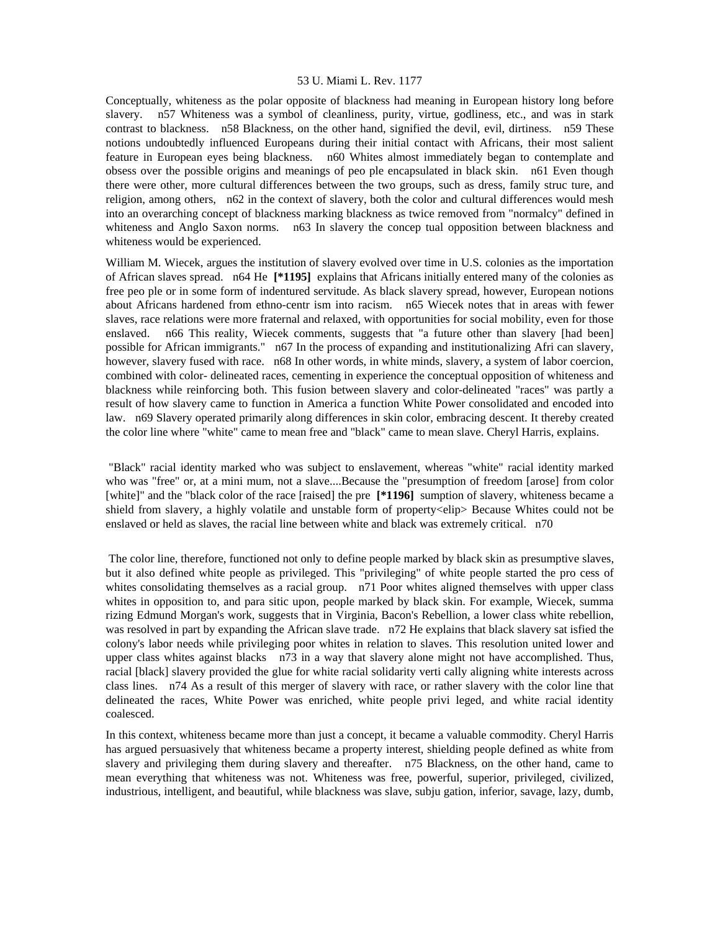Conceptually, whiteness as the polar opposite of blackness had meaning in European history long before slavery. n57 Whiteness was a symbol of cleanliness, purity, virtue, godliness, etc., and was in stark contrast to blackness. n58 Blackness, on the other hand, signified the devil, evil, dirtiness. n59 These notions undoubtedly influenced Europeans during their initial contact with Africans, their most salient feature in European eyes being blackness. n60 Whites almost immediately began to contemplate and obsess over the possible origins and meanings of peo ple encapsulated in black skin. n61 Even though there were other, more cultural differences between the two groups, such as dress, family struc ture, and religion, among others, n62 in the context of slavery, both the color and cultural differences would mesh into an overarching concept of blackness marking blackness as twice removed from "normalcy" defined in whiteness and Anglo Saxon norms. n63 In slavery the concep tual opposition between blackness and whiteness would be experienced.

William M. Wiecek, argues the institution of slavery evolved over time in U.S. colonies as the importation of African slaves spread. n64 He **[\*1195]** explains that Africans initially entered many of the colonies as free peo ple or in some form of indentured servitude. As black slavery spread, however, European notions about Africans hardened from ethno-centr ism into racism. n65 Wiecek notes that in areas with fewer slaves, race relations were more fraternal and relaxed, with opportunities for social mobility, even for those enslaved. n66 This reality, Wiecek comments, suggests that "a future other than slavery [had been] possible for African immigrants." n67 In the process of expanding and institutionalizing Afri can slavery, however, slavery fused with race. n68 In other words, in white minds, slavery, a system of labor coercion, combined with color- delineated races, cementing in experience the conceptual opposition of whiteness and blackness while reinforcing both. This fusion between slavery and color-delineated "races" was partly a result of how slavery came to function in America a function White Power consolidated and encoded into law. n69 Slavery operated primarily along differences in skin color, embracing descent. It thereby created the color line where "white" came to mean free and "black" came to mean slave. Cheryl Harris, explains.

 "Black" racial identity marked who was subject to enslavement, whereas "white" racial identity marked who was "free" or, at a mini mum, not a slave....Because the "presumption of freedom [arose] from color [white]" and the "black color of the race [raised] the pre **[\*1196]** sumption of slavery, whiteness became a shield from slavery, a highly volatile and unstable form of property<elip> Because Whites could not be enslaved or held as slaves, the racial line between white and black was extremely critical. n70

 The color line, therefore, functioned not only to define people marked by black skin as presumptive slaves, but it also defined white people as privileged. This "privileging" of white people started the pro cess of whites consolidating themselves as a racial group. n71 Poor whites aligned themselves with upper class whites in opposition to, and para sitic upon, people marked by black skin. For example, Wiecek, summa rizing Edmund Morgan's work, suggests that in Virginia, Bacon's Rebellion, a lower class white rebellion, was resolved in part by expanding the African slave trade. n72 He explains that black slavery sat isfied the colony's labor needs while privileging poor whites in relation to slaves. This resolution united lower and upper class whites against blacks n73 in a way that slavery alone might not have accomplished. Thus, racial [black] slavery provided the glue for white racial solidarity verti cally aligning white interests across class lines. n74 As a result of this merger of slavery with race, or rather slavery with the color line that delineated the races, White Power was enriched, white people privi leged, and white racial identity coalesced.

In this context, whiteness became more than just a concept, it became a valuable commodity. Cheryl Harris has argued persuasively that whiteness became a property interest, shielding people defined as white from slavery and privileging them during slavery and thereafter. n75 Blackness, on the other hand, came to mean everything that whiteness was not. Whiteness was free, powerful, superior, privileged, civilized, industrious, intelligent, and beautiful, while blackness was slave, subju gation, inferior, savage, lazy, dumb,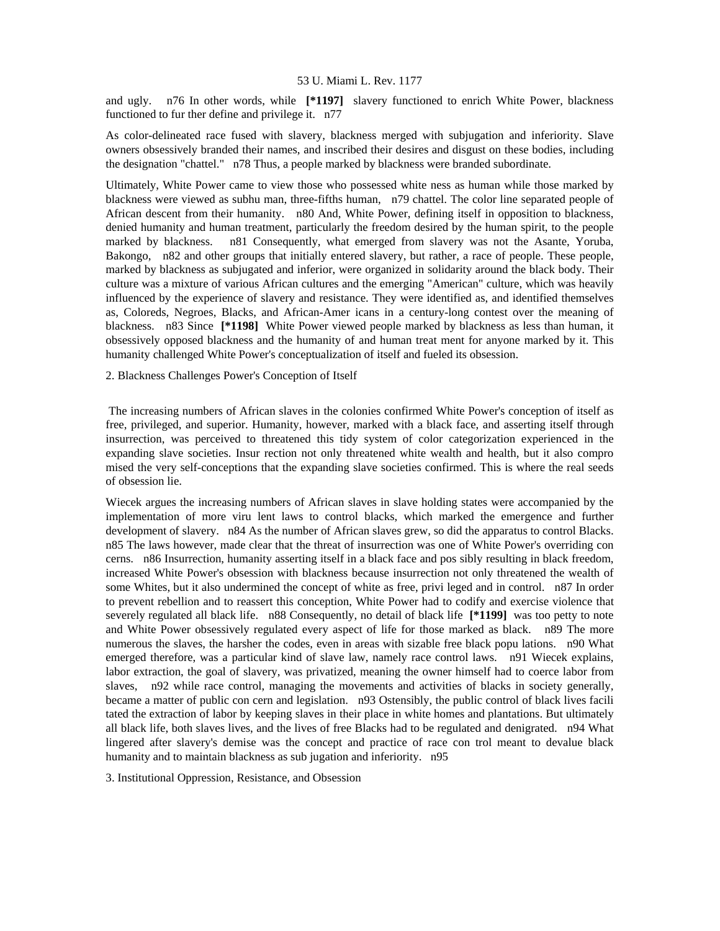and ugly. n76 In other words, while **[\*1197]** slavery functioned to enrich White Power, blackness functioned to fur ther define and privilege it. n77

As color-delineated race fused with slavery, blackness merged with subjugation and inferiority. Slave owners obsessively branded their names, and inscribed their desires and disgust on these bodies, including the designation "chattel." n78 Thus, a people marked by blackness were branded subordinate.

Ultimately, White Power came to view those who possessed white ness as human while those marked by blackness were viewed as subhu man, three-fifths human, n79 chattel. The color line separated people of African descent from their humanity. n80 And, White Power, defining itself in opposition to blackness, denied humanity and human treatment, particularly the freedom desired by the human spirit, to the people marked by blackness. n81 Consequently, what emerged from slavery was not the Asante, Yoruba, Bakongo, n82 and other groups that initially entered slavery, but rather, a race of people. These people, marked by blackness as subjugated and inferior, were organized in solidarity around the black body. Their culture was a mixture of various African cultures and the emerging "American" culture, which was heavily influenced by the experience of slavery and resistance. They were identified as, and identified themselves as, Coloreds, Negroes, Blacks, and African-Amer icans in a century-long contest over the meaning of blackness. n83 Since **[\*1198]** White Power viewed people marked by blackness as less than human, it obsessively opposed blackness and the humanity of and human treat ment for anyone marked by it. This humanity challenged White Power's conceptualization of itself and fueled its obsession.

# 2. Blackness Challenges Power's Conception of Itself

 The increasing numbers of African slaves in the colonies confirmed White Power's conception of itself as free, privileged, and superior. Humanity, however, marked with a black face, and asserting itself through insurrection, was perceived to threatened this tidy system of color categorization experienced in the expanding slave societies. Insur rection not only threatened white wealth and health, but it also compro mised the very self-conceptions that the expanding slave societies confirmed. This is where the real seeds of obsession lie.

Wiecek argues the increasing numbers of African slaves in slave holding states were accompanied by the implementation of more viru lent laws to control blacks, which marked the emergence and further development of slavery. n84 As the number of African slaves grew, so did the apparatus to control Blacks. n85 The laws however, made clear that the threat of insurrection was one of White Power's overriding con cerns. n86 Insurrection, humanity asserting itself in a black face and pos sibly resulting in black freedom, increased White Power's obsession with blackness because insurrection not only threatened the wealth of some Whites, but it also undermined the concept of white as free, privi leged and in control. n87 In order to prevent rebellion and to reassert this conception, White Power had to codify and exercise violence that severely regulated all black life. n88 Consequently, no detail of black life **[\*1199]** was too petty to note and White Power obsessively regulated every aspect of life for those marked as black. n89 The more numerous the slaves, the harsher the codes, even in areas with sizable free black popu lations. n90 What emerged therefore, was a particular kind of slave law, namely race control laws. n91 Wiecek explains, labor extraction, the goal of slavery, was privatized, meaning the owner himself had to coerce labor from slaves, n92 while race control, managing the movements and activities of blacks in society generally, became a matter of public con cern and legislation. n93 Ostensibly, the public control of black lives facili tated the extraction of labor by keeping slaves in their place in white homes and plantations. But ultimately all black life, both slaves lives, and the lives of free Blacks had to be regulated and denigrated. n94 What lingered after slavery's demise was the concept and practice of race con trol meant to devalue black humanity and to maintain blackness as sub jugation and inferiority. n95

3. Institutional Oppression, Resistance, and Obsession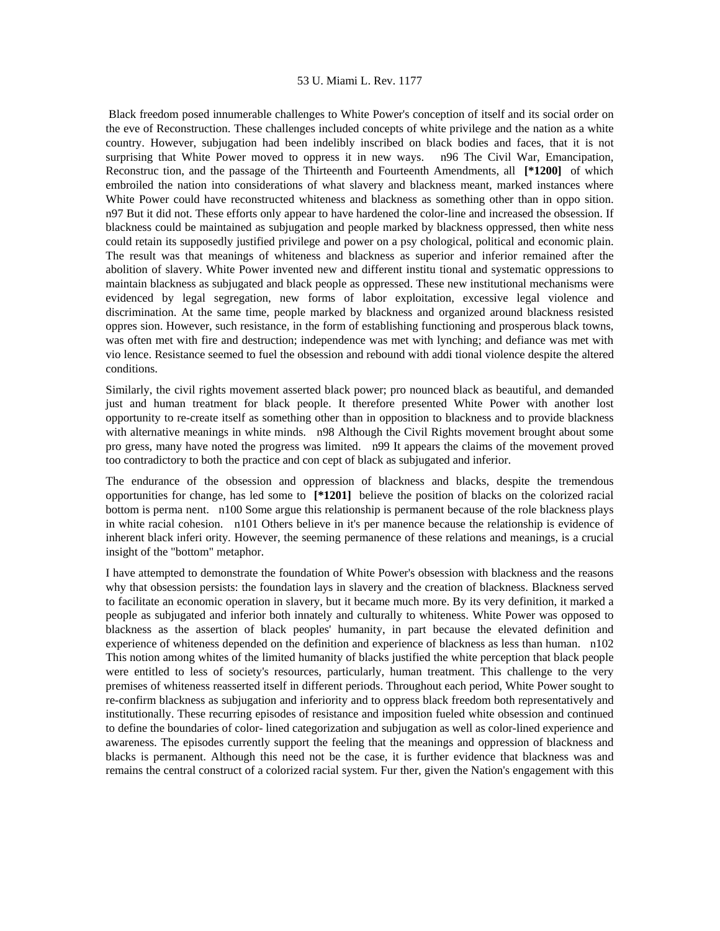Black freedom posed innumerable challenges to White Power's conception of itself and its social order on the eve of Reconstruction. These challenges included concepts of white privilege and the nation as a white country. However, subjugation had been indelibly inscribed on black bodies and faces, that it is not surprising that White Power moved to oppress it in new ways. n96 The Civil War, Emancipation, Reconstruc tion, and the passage of the Thirteenth and Fourteenth Amendments, all **[\*1200]** of which embroiled the nation into considerations of what slavery and blackness meant, marked instances where White Power could have reconstructed whiteness and blackness as something other than in oppo sition. n97 But it did not. These efforts only appear to have hardened the color-line and increased the obsession. If blackness could be maintained as subjugation and people marked by blackness oppressed, then white ness could retain its supposedly justified privilege and power on a psy chological, political and economic plain. The result was that meanings of whiteness and blackness as superior and inferior remained after the abolition of slavery. White Power invented new and different institu tional and systematic oppressions to maintain blackness as subjugated and black people as oppressed. These new institutional mechanisms were evidenced by legal segregation, new forms of labor exploitation, excessive legal violence and discrimination. At the same time, people marked by blackness and organized around blackness resisted oppres sion. However, such resistance, in the form of establishing functioning and prosperous black towns, was often met with fire and destruction; independence was met with lynching; and defiance was met with vio lence. Resistance seemed to fuel the obsession and rebound with addi tional violence despite the altered conditions.

Similarly, the civil rights movement asserted black power; pro nounced black as beautiful, and demanded just and human treatment for black people. It therefore presented White Power with another lost opportunity to re-create itself as something other than in opposition to blackness and to provide blackness with alternative meanings in white minds. n98 Although the Civil Rights movement brought about some pro gress, many have noted the progress was limited. n99 It appears the claims of the movement proved too contradictory to both the practice and con cept of black as subjugated and inferior.

The endurance of the obsession and oppression of blackness and blacks, despite the tremendous opportunities for change, has led some to **[\*1201]** believe the position of blacks on the colorized racial bottom is perma nent. n100 Some argue this relationship is permanent because of the role blackness plays in white racial cohesion. n101 Others believe in it's per manence because the relationship is evidence of inherent black inferi ority. However, the seeming permanence of these relations and meanings, is a crucial insight of the "bottom" metaphor.

I have attempted to demonstrate the foundation of White Power's obsession with blackness and the reasons why that obsession persists: the foundation lays in slavery and the creation of blackness. Blackness served to facilitate an economic operation in slavery, but it became much more. By its very definition, it marked a people as subjugated and inferior both innately and culturally to whiteness. White Power was opposed to blackness as the assertion of black peoples' humanity, in part because the elevated definition and experience of whiteness depended on the definition and experience of blackness as less than human. n102 This notion among whites of the limited humanity of blacks justified the white perception that black people were entitled to less of society's resources, particularly, human treatment. This challenge to the very premises of whiteness reasserted itself in different periods. Throughout each period, White Power sought to re-confirm blackness as subjugation and inferiority and to oppress black freedom both representatively and institutionally. These recurring episodes of resistance and imposition fueled white obsession and continued to define the boundaries of color- lined categorization and subjugation as well as color-lined experience and awareness. The episodes currently support the feeling that the meanings and oppression of blackness and blacks is permanent. Although this need not be the case, it is further evidence that blackness was and remains the central construct of a colorized racial system. Fur ther, given the Nation's engagement with this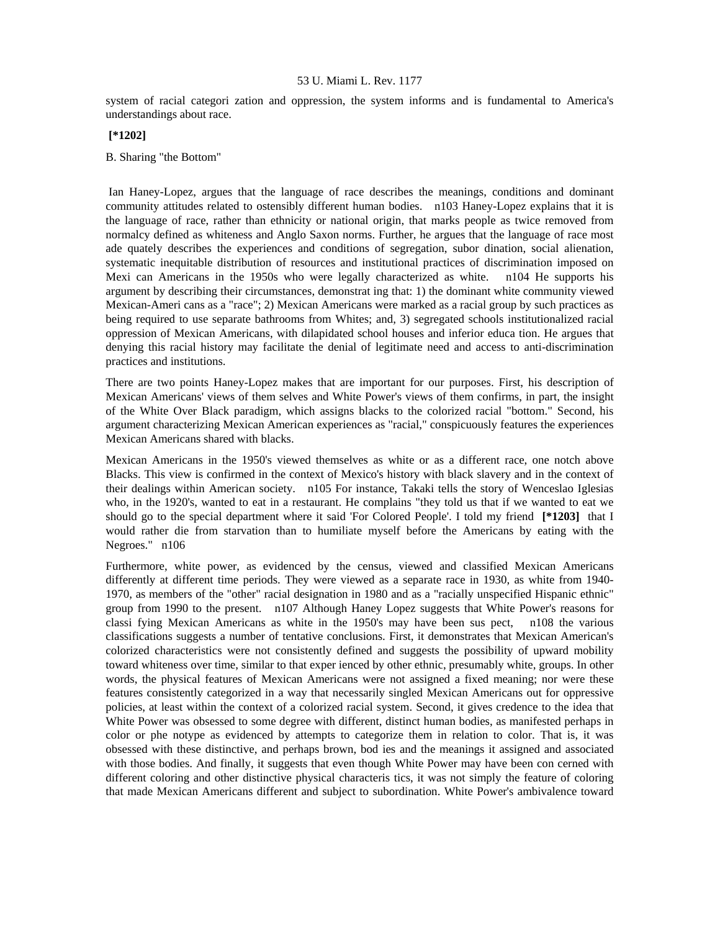system of racial categori zation and oppression, the system informs and is fundamental to America's understandings about race.

# **[\*1202]**

B. Sharing "the Bottom"

 Ian Haney-Lopez, argues that the language of race describes the meanings, conditions and dominant community attitudes related to ostensibly different human bodies. n103 Haney-Lopez explains that it is the language of race, rather than ethnicity or national origin, that marks people as twice removed from normalcy defined as whiteness and Anglo Saxon norms. Further, he argues that the language of race most ade quately describes the experiences and conditions of segregation, subor dination, social alienation, systematic inequitable distribution of resources and institutional practices of discrimination imposed on Mexi can Americans in the 1950s who were legally characterized as white. n104 He supports his argument by describing their circumstances, demonstrat ing that: 1) the dominant white community viewed Mexican-Ameri cans as a "race"; 2) Mexican Americans were marked as a racial group by such practices as being required to use separate bathrooms from Whites; and, 3) segregated schools institutionalized racial oppression of Mexican Americans, with dilapidated school houses and inferior educa tion. He argues that denying this racial history may facilitate the denial of legitimate need and access to anti-discrimination practices and institutions.

There are two points Haney-Lopez makes that are important for our purposes. First, his description of Mexican Americans' views of them selves and White Power's views of them confirms, in part, the insight of the White Over Black paradigm, which assigns blacks to the colorized racial "bottom." Second, his argument characterizing Mexican American experiences as "racial," conspicuously features the experiences Mexican Americans shared with blacks.

Mexican Americans in the 1950's viewed themselves as white or as a different race, one notch above Blacks. This view is confirmed in the context of Mexico's history with black slavery and in the context of their dealings within American society. n105 For instance, Takaki tells the story of Wenceslao Iglesias who, in the 1920's, wanted to eat in a restaurant. He complains "they told us that if we wanted to eat we should go to the special department where it said 'For Colored People'. I told my friend **[\*1203]** that I would rather die from starvation than to humiliate myself before the Americans by eating with the Negroes." n106

Furthermore, white power, as evidenced by the census, viewed and classified Mexican Americans differently at different time periods. They were viewed as a separate race in 1930, as white from 1940- 1970, as members of the "other" racial designation in 1980 and as a "racially unspecified Hispanic ethnic" group from 1990 to the present. n107 Although Haney Lopez suggests that White Power's reasons for classi fying Mexican Americans as white in the 1950's may have been sus pect, n108 the various classifications suggests a number of tentative conclusions. First, it demonstrates that Mexican American's colorized characteristics were not consistently defined and suggests the possibility of upward mobility toward whiteness over time, similar to that exper ienced by other ethnic, presumably white, groups. In other words, the physical features of Mexican Americans were not assigned a fixed meaning; nor were these features consistently categorized in a way that necessarily singled Mexican Americans out for oppressive policies, at least within the context of a colorized racial system. Second, it gives credence to the idea that White Power was obsessed to some degree with different, distinct human bodies, as manifested perhaps in color or phe notype as evidenced by attempts to categorize them in relation to color. That is, it was obsessed with these distinctive, and perhaps brown, bod ies and the meanings it assigned and associated with those bodies. And finally, it suggests that even though White Power may have been con cerned with different coloring and other distinctive physical characteris tics, it was not simply the feature of coloring that made Mexican Americans different and subject to subordination. White Power's ambivalence toward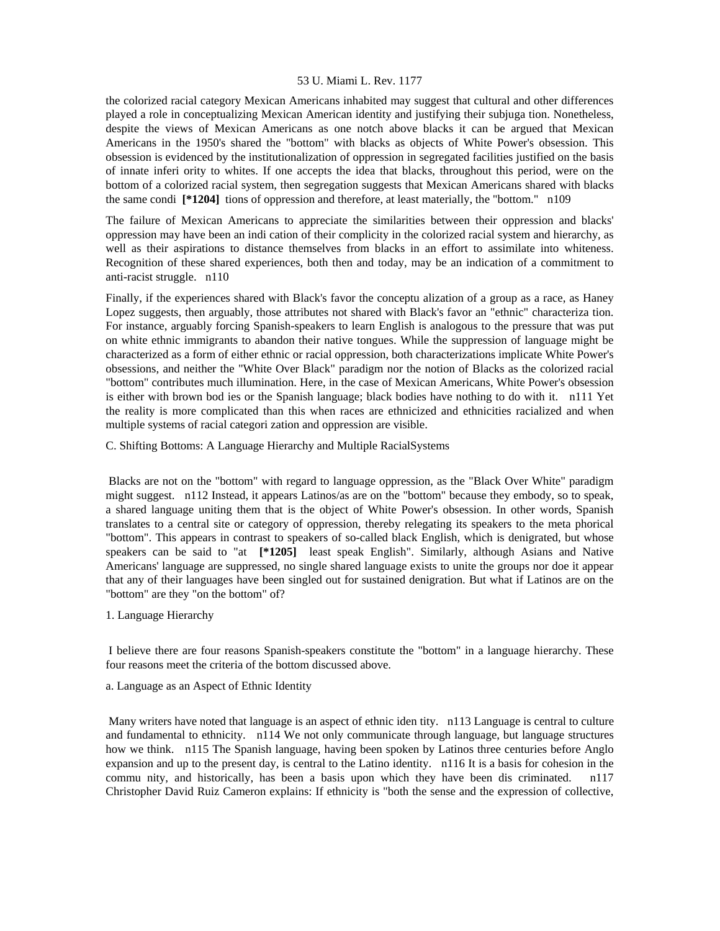the colorized racial category Mexican Americans inhabited may suggest that cultural and other differences played a role in conceptualizing Mexican American identity and justifying their subjuga tion. Nonetheless, despite the views of Mexican Americans as one notch above blacks it can be argued that Mexican Americans in the 1950's shared the "bottom" with blacks as objects of White Power's obsession. This obsession is evidenced by the institutionalization of oppression in segregated facilities justified on the basis of innate inferi ority to whites. If one accepts the idea that blacks, throughout this period, were on the bottom of a colorized racial system, then segregation suggests that Mexican Americans shared with blacks the same condi **[\*1204]** tions of oppression and therefore, at least materially, the "bottom." n109

The failure of Mexican Americans to appreciate the similarities between their oppression and blacks' oppression may have been an indi cation of their complicity in the colorized racial system and hierarchy, as well as their aspirations to distance themselves from blacks in an effort to assimilate into whiteness. Recognition of these shared experiences, both then and today, may be an indication of a commitment to anti-racist struggle. n110

Finally, if the experiences shared with Black's favor the conceptu alization of a group as a race, as Haney Lopez suggests, then arguably, those attributes not shared with Black's favor an "ethnic" characteriza tion. For instance, arguably forcing Spanish-speakers to learn English is analogous to the pressure that was put on white ethnic immigrants to abandon their native tongues. While the suppression of language might be characterized as a form of either ethnic or racial oppression, both characterizations implicate White Power's obsessions, and neither the "White Over Black" paradigm nor the notion of Blacks as the colorized racial "bottom" contributes much illumination. Here, in the case of Mexican Americans, White Power's obsession is either with brown bod ies or the Spanish language; black bodies have nothing to do with it. n111 Yet the reality is more complicated than this when races are ethnicized and ethnicities racialized and when multiple systems of racial categori zation and oppression are visible.

C. Shifting Bottoms: A Language Hierarchy and Multiple RacialSystems

 Blacks are not on the "bottom" with regard to language oppression, as the "Black Over White" paradigm might suggest. n112 Instead, it appears Latinos/as are on the "bottom" because they embody, so to speak, a shared language uniting them that is the object of White Power's obsession. In other words, Spanish translates to a central site or category of oppression, thereby relegating its speakers to the meta phorical "bottom". This appears in contrast to speakers of so-called black English, which is denigrated, but whose speakers can be said to "at **[\*1205]** least speak English". Similarly, although Asians and Native Americans' language are suppressed, no single shared language exists to unite the groups nor doe it appear that any of their languages have been singled out for sustained denigration. But what if Latinos are on the "bottom" are they "on the bottom" of?

1. Language Hierarchy

 I believe there are four reasons Spanish-speakers constitute the "bottom" in a language hierarchy. These four reasons meet the criteria of the bottom discussed above.

a. Language as an Aspect of Ethnic Identity

 Many writers have noted that language is an aspect of ethnic iden tity. n113 Language is central to culture and fundamental to ethnicity. n114 We not only communicate through language, but language structures how we think. n115 The Spanish language, having been spoken by Latinos three centuries before Anglo expansion and up to the present day, is central to the Latino identity. n116 It is a basis for cohesion in the commu nity, and historically, has been a basis upon which they have been dis criminated. n117 Christopher David Ruiz Cameron explains: If ethnicity is "both the sense and the expression of collective,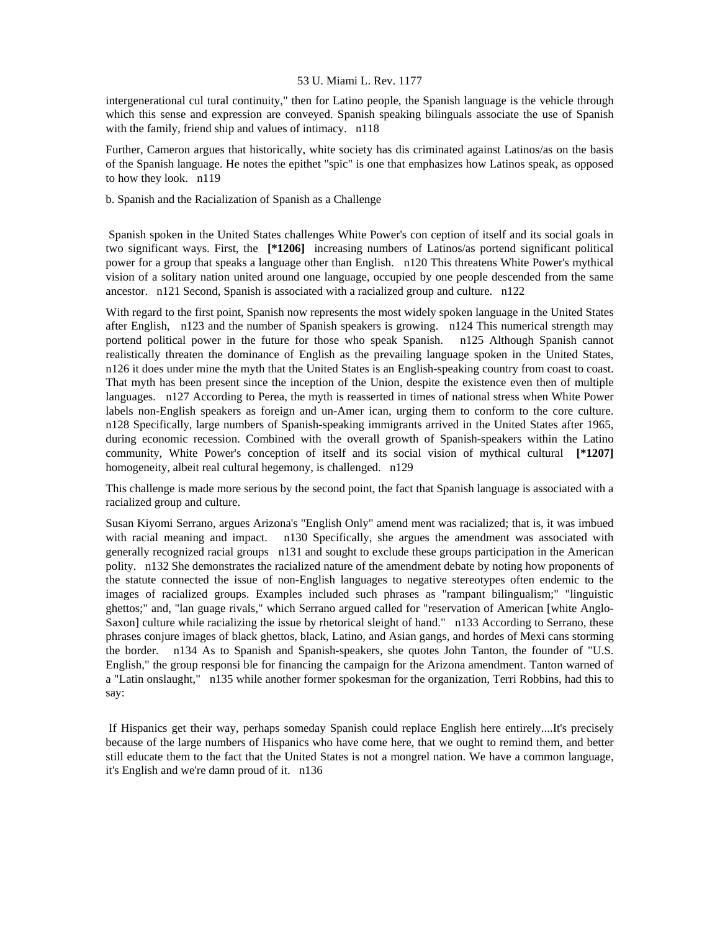intergenerational cul tural continuity," then for Latino people, the Spanish language is the vehicle through which this sense and expression are conveyed. Spanish speaking bilinguals associate the use of Spanish with the family, friend ship and values of intimacy. n118

Further, Cameron argues that historically, white society has dis criminated against Latinos/as on the basis of the Spanish language. He notes the epithet "spic" is one that emphasizes how Latinos speak, as opposed to how they look. n119

b. Spanish and the Racialization of Spanish as a Challenge

 Spanish spoken in the United States challenges White Power's con ception of itself and its social goals in two significant ways. First, the **[\*1206]** increasing numbers of Latinos/as portend significant political power for a group that speaks a language other than English. n120 This threatens White Power's mythical vision of a solitary nation united around one language, occupied by one people descended from the same ancestor. n121 Second, Spanish is associated with a racialized group and culture. n122

With regard to the first point, Spanish now represents the most widely spoken language in the United States after English, n123 and the number of Spanish speakers is growing. n124 This numerical strength may portend political power in the future for those who speak Spanish. n125 Although Spanish cannot realistically threaten the dominance of English as the prevailing language spoken in the United States, n126 it does under mine the myth that the United States is an English-speaking country from coast to coast. That myth has been present since the inception of the Union, despite the existence even then of multiple languages. n127 According to Perea, the myth is reasserted in times of national stress when White Power labels non-English speakers as foreign and un-Amer ican, urging them to conform to the core culture. n128 Specifically, large numbers of Spanish-speaking immigrants arrived in the United States after 1965, during economic recession. Combined with the overall growth of Spanish-speakers within the Latino community, White Power's conception of itself and its social vision of mythical cultural **[\*1207]**  homogeneity, albeit real cultural hegemony, is challenged. n129

This challenge is made more serious by the second point, the fact that Spanish language is associated with a racialized group and culture.

Susan Kiyomi Serrano, argues Arizona's "English Only" amend ment was racialized; that is, it was imbued with racial meaning and impact. n130 Specifically, she argues the amendment was associated with generally recognized racial groups n131 and sought to exclude these groups participation in the American polity. n132 She demonstrates the racialized nature of the amendment debate by noting how proponents of the statute connected the issue of non-English languages to negative stereotypes often endemic to the images of racialized groups. Examples included such phrases as "rampant bilingualism;" "linguistic ghettos;" and, "lan guage rivals," which Serrano argued called for "reservation of American [white Anglo-Saxon] culture while racializing the issue by rhetorical sleight of hand." n133 According to Serrano, these phrases conjure images of black ghettos, black, Latino, and Asian gangs, and hordes of Mexi cans storming the border. n134 As to Spanish and Spanish-speakers, she quotes John Tanton, the founder of "U.S. English," the group responsi ble for financing the campaign for the Arizona amendment. Tanton warned of a "Latin onslaught," n135 while another former spokesman for the organization, Terri Robbins, had this to say:

 If Hispanics get their way, perhaps someday Spanish could replace English here entirely....It's precisely because of the large numbers of Hispanics who have come here, that we ought to remind them, and better still educate them to the fact that the United States is not a mongrel nation. We have a common language, it's English and we're damn proud of it. n136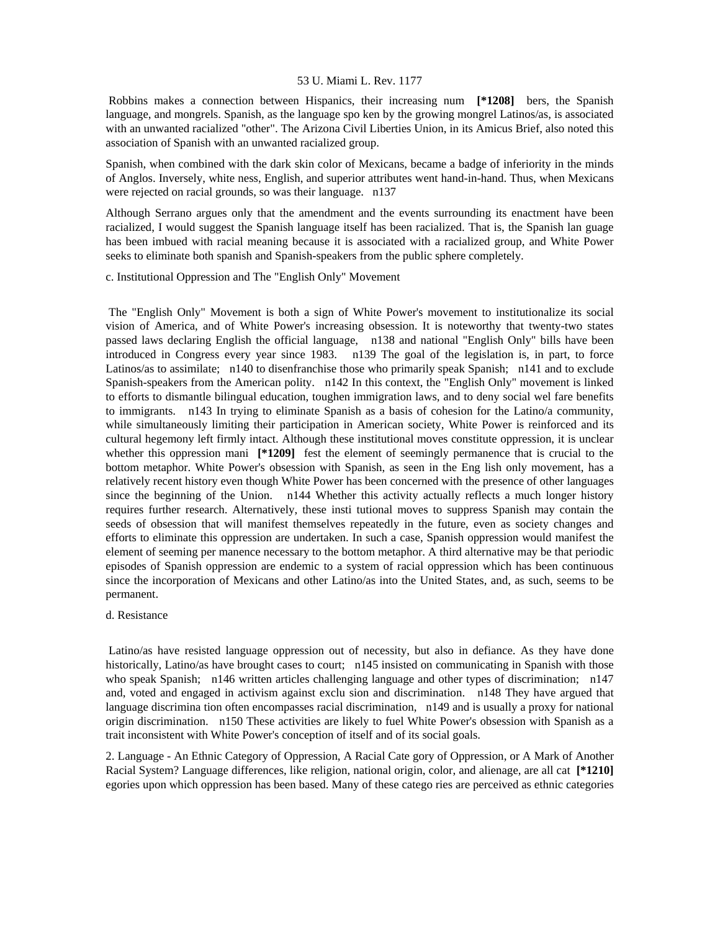Robbins makes a connection between Hispanics, their increasing num **[\*1208]** bers, the Spanish language, and mongrels. Spanish, as the language spo ken by the growing mongrel Latinos/as, is associated with an unwanted racialized "other". The Arizona Civil Liberties Union, in its Amicus Brief, also noted this association of Spanish with an unwanted racialized group.

Spanish, when combined with the dark skin color of Mexicans, became a badge of inferiority in the minds of Anglos. Inversely, white ness, English, and superior attributes went hand-in-hand. Thus, when Mexicans were rejected on racial grounds, so was their language. n137

Although Serrano argues only that the amendment and the events surrounding its enactment have been racialized, I would suggest the Spanish language itself has been racialized. That is, the Spanish lan guage has been imbued with racial meaning because it is associated with a racialized group, and White Power seeks to eliminate both spanish and Spanish-speakers from the public sphere completely.

c. Institutional Oppression and The "English Only" Movement

 The "English Only" Movement is both a sign of White Power's movement to institutionalize its social vision of America, and of White Power's increasing obsession. It is noteworthy that twenty-two states passed laws declaring English the official language, n138 and national "English Only" bills have been introduced in Congress every year since 1983. n139 The goal of the legislation is, in part, to force Latinos/as to assimilate; n140 to disenfranchise those who primarily speak Spanish; n141 and to exclude Spanish-speakers from the American polity. n142 In this context, the "English Only" movement is linked to efforts to dismantle bilingual education, toughen immigration laws, and to deny social wel fare benefits to immigrants. n143 In trying to eliminate Spanish as a basis of cohesion for the Latino/a community, while simultaneously limiting their participation in American society, White Power is reinforced and its cultural hegemony left firmly intact. Although these institutional moves constitute oppression, it is unclear whether this oppression mani [\*1209] fest the element of seemingly permanence that is crucial to the bottom metaphor. White Power's obsession with Spanish, as seen in the Eng lish only movement, has a relatively recent history even though White Power has been concerned with the presence of other languages since the beginning of the Union. n144 Whether this activity actually reflects a much longer history requires further research. Alternatively, these insti tutional moves to suppress Spanish may contain the seeds of obsession that will manifest themselves repeatedly in the future, even as society changes and efforts to eliminate this oppression are undertaken. In such a case, Spanish oppression would manifest the element of seeming per manence necessary to the bottom metaphor. A third alternative may be that periodic episodes of Spanish oppression are endemic to a system of racial oppression which has been continuous since the incorporation of Mexicans and other Latino/as into the United States, and, as such, seems to be permanent.

# d. Resistance

 Latino/as have resisted language oppression out of necessity, but also in defiance. As they have done historically, Latino/as have brought cases to court; n145 insisted on communicating in Spanish with those who speak Spanish; n146 written articles challenging language and other types of discrimination; n147 and, voted and engaged in activism against exclu sion and discrimination. n148 They have argued that language discrimina tion often encompasses racial discrimination, n149 and is usually a proxy for national origin discrimination. n150 These activities are likely to fuel White Power's obsession with Spanish as a trait inconsistent with White Power's conception of itself and of its social goals.

2. Language - An Ethnic Category of Oppression, A Racial Cate gory of Oppression, or A Mark of Another Racial System? Language differences, like religion, national origin, color, and alienage, are all cat **[\*1210]**  egories upon which oppression has been based. Many of these catego ries are perceived as ethnic categories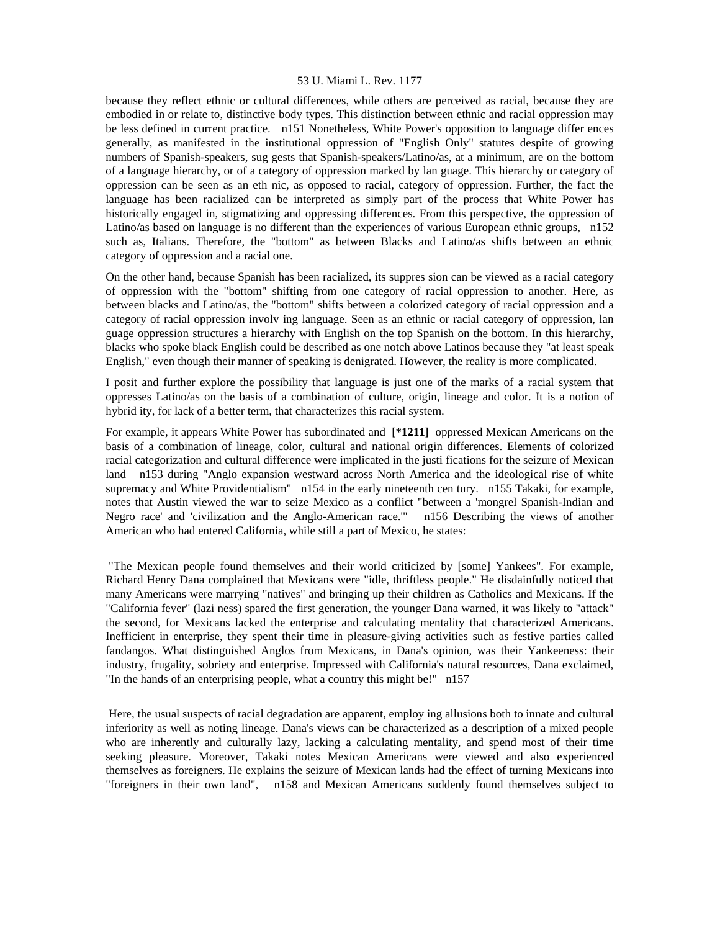because they reflect ethnic or cultural differences, while others are perceived as racial, because they are embodied in or relate to, distinctive body types. This distinction between ethnic and racial oppression may be less defined in current practice. n151 Nonetheless, White Power's opposition to language differ ences generally, as manifested in the institutional oppression of "English Only" statutes despite of growing numbers of Spanish-speakers, sug gests that Spanish-speakers/Latino/as, at a minimum, are on the bottom of a language hierarchy, or of a category of oppression marked by lan guage. This hierarchy or category of oppression can be seen as an eth nic, as opposed to racial, category of oppression. Further, the fact the language has been racialized can be interpreted as simply part of the process that White Power has historically engaged in, stigmatizing and oppressing differences. From this perspective, the oppression of Latino/as based on language is no different than the experiences of various European ethnic groups, n152 such as, Italians. Therefore, the "bottom" as between Blacks and Latino/as shifts between an ethnic category of oppression and a racial one.

On the other hand, because Spanish has been racialized, its suppres sion can be viewed as a racial category of oppression with the "bottom" shifting from one category of racial oppression to another. Here, as between blacks and Latino/as, the "bottom" shifts between a colorized category of racial oppression and a category of racial oppression involv ing language. Seen as an ethnic or racial category of oppression, lan guage oppression structures a hierarchy with English on the top Spanish on the bottom. In this hierarchy, blacks who spoke black English could be described as one notch above Latinos because they "at least speak English," even though their manner of speaking is denigrated. However, the reality is more complicated.

I posit and further explore the possibility that language is just one of the marks of a racial system that oppresses Latino/as on the basis of a combination of culture, origin, lineage and color. It is a notion of hybrid ity, for lack of a better term, that characterizes this racial system.

For example, it appears White Power has subordinated and **[\*1211]** oppressed Mexican Americans on the basis of a combination of lineage, color, cultural and national origin differences. Elements of colorized racial categorization and cultural difference were implicated in the justi fications for the seizure of Mexican land n153 during "Anglo expansion westward across North America and the ideological rise of white supremacy and White Providentialism" n154 in the early nineteenth cen tury. n155 Takaki, for example, notes that Austin viewed the war to seize Mexico as a conflict "between a 'mongrel Spanish-Indian and Negro race' and 'civilization and the Anglo-American race.'" n156 Describing the views of another American who had entered California, while still a part of Mexico, he states:

 "The Mexican people found themselves and their world criticized by [some] Yankees". For example, Richard Henry Dana complained that Mexicans were "idle, thriftless people." He disdainfully noticed that many Americans were marrying "natives" and bringing up their children as Catholics and Mexicans. If the "California fever" (lazi ness) spared the first generation, the younger Dana warned, it was likely to "attack" the second, for Mexicans lacked the enterprise and calculating mentality that characterized Americans. Inefficient in enterprise, they spent their time in pleasure-giving activities such as festive parties called fandangos. What distinguished Anglos from Mexicans, in Dana's opinion, was their Yankeeness: their industry, frugality, sobriety and enterprise. Impressed with California's natural resources, Dana exclaimed, "In the hands of an enterprising people, what a country this might be!" n157

 Here, the usual suspects of racial degradation are apparent, employ ing allusions both to innate and cultural inferiority as well as noting lineage. Dana's views can be characterized as a description of a mixed people who are inherently and culturally lazy, lacking a calculating mentality, and spend most of their time seeking pleasure. Moreover, Takaki notes Mexican Americans were viewed and also experienced themselves as foreigners. He explains the seizure of Mexican lands had the effect of turning Mexicans into "foreigners in their own land", n158 and Mexican Americans suddenly found themselves subject to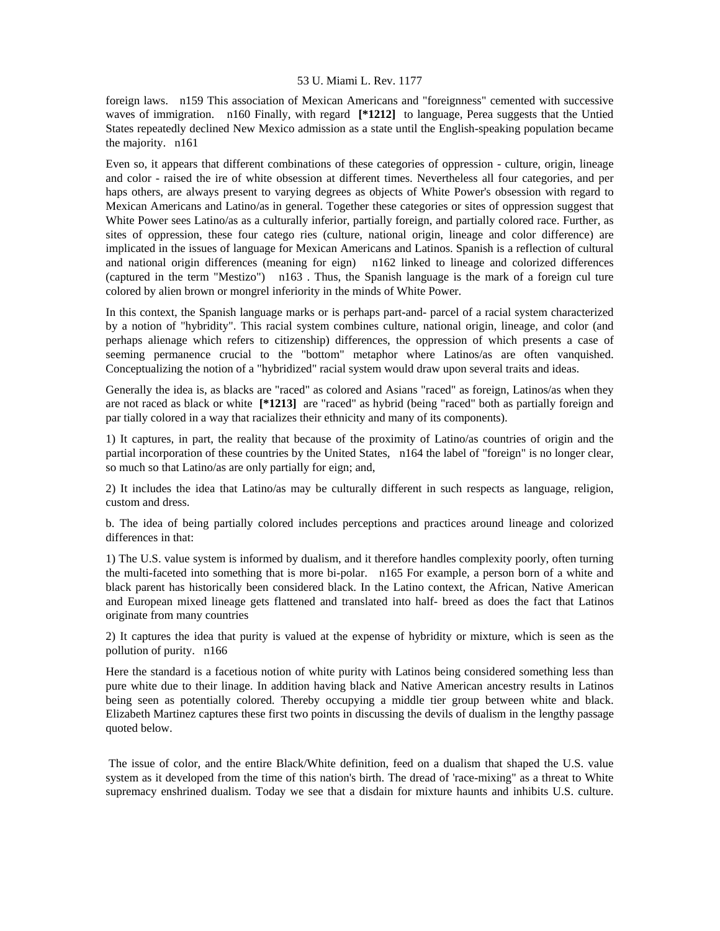foreign laws. n159 This association of Mexican Americans and "foreignness" cemented with successive waves of immigration. n160 Finally, with regard **[\*1212]** to language, Perea suggests that the Untied States repeatedly declined New Mexico admission as a state until the English-speaking population became the majority. n161

Even so, it appears that different combinations of these categories of oppression - culture, origin, lineage and color - raised the ire of white obsession at different times. Nevertheless all four categories, and per haps others, are always present to varying degrees as objects of White Power's obsession with regard to Mexican Americans and Latino/as in general. Together these categories or sites of oppression suggest that White Power sees Latino/as as a culturally inferior, partially foreign, and partially colored race. Further, as sites of oppression, these four catego ries (culture, national origin, lineage and color difference) are implicated in the issues of language for Mexican Americans and Latinos. Spanish is a reflection of cultural and national origin differences (meaning for eign) n162 linked to lineage and colorized differences (captured in the term "Mestizo") n163 . Thus, the Spanish language is the mark of a foreign cul ture colored by alien brown or mongrel inferiority in the minds of White Power.

In this context, the Spanish language marks or is perhaps part-and- parcel of a racial system characterized by a notion of "hybridity". This racial system combines culture, national origin, lineage, and color (and perhaps alienage which refers to citizenship) differences, the oppression of which presents a case of seeming permanence crucial to the "bottom" metaphor where Latinos/as are often vanquished. Conceptualizing the notion of a "hybridized" racial system would draw upon several traits and ideas.

Generally the idea is, as blacks are "raced" as colored and Asians "raced" as foreign, Latinos/as when they are not raced as black or white **[\*1213]** are "raced" as hybrid (being "raced" both as partially foreign and par tially colored in a way that racializes their ethnicity and many of its components).

1) It captures, in part, the reality that because of the proximity of Latino/as countries of origin and the partial incorporation of these countries by the United States, n164 the label of "foreign" is no longer clear, so much so that Latino/as are only partially for eign; and,

2) It includes the idea that Latino/as may be culturally different in such respects as language, religion, custom and dress.

b. The idea of being partially colored includes perceptions and practices around lineage and colorized differences in that:

1) The U.S. value system is informed by dualism, and it therefore handles complexity poorly, often turning the multi-faceted into something that is more bi-polar. n165 For example, a person born of a white and black parent has historically been considered black. In the Latino context, the African, Native American and European mixed lineage gets flattened and translated into half- breed as does the fact that Latinos originate from many countries

2) It captures the idea that purity is valued at the expense of hybridity or mixture, which is seen as the pollution of purity. n166

Here the standard is a facetious notion of white purity with Latinos being considered something less than pure white due to their linage. In addition having black and Native American ancestry results in Latinos being seen as potentially colored. Thereby occupying a middle tier group between white and black. Elizabeth Martinez captures these first two points in discussing the devils of dualism in the lengthy passage quoted below.

 The issue of color, and the entire Black/White definition, feed on a dualism that shaped the U.S. value system as it developed from the time of this nation's birth. The dread of 'race-mixing" as a threat to White supremacy enshrined dualism. Today we see that a disdain for mixture haunts and inhibits U.S. culture.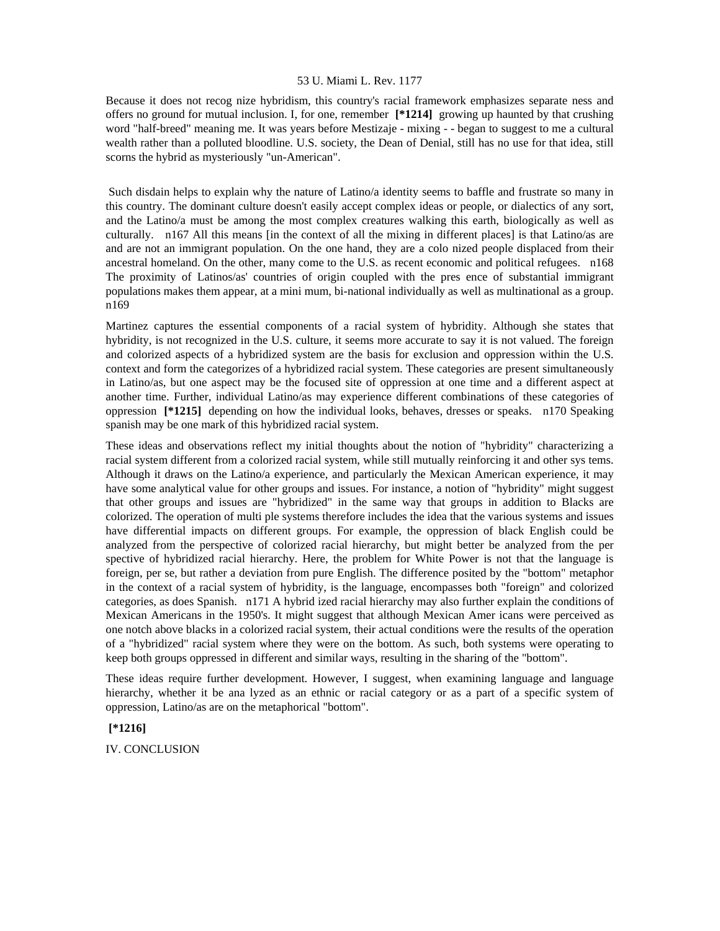Because it does not recog nize hybridism, this country's racial framework emphasizes separate ness and offers no ground for mutual inclusion. I, for one, remember **[\*1214]** growing up haunted by that crushing word "half-breed" meaning me. It was years before Mestizaje - mixing - - began to suggest to me a cultural wealth rather than a polluted bloodline. U.S. society, the Dean of Denial, still has no use for that idea, still scorns the hybrid as mysteriously "un-American".

 Such disdain helps to explain why the nature of Latino/a identity seems to baffle and frustrate so many in this country. The dominant culture doesn't easily accept complex ideas or people, or dialectics of any sort, and the Latino/a must be among the most complex creatures walking this earth, biologically as well as culturally. n167 All this means [in the context of all the mixing in different places] is that Latino/as are and are not an immigrant population. On the one hand, they are a colo nized people displaced from their ancestral homeland. On the other, many come to the U.S. as recent economic and political refugees. n168 The proximity of Latinos/as' countries of origin coupled with the pres ence of substantial immigrant populations makes them appear, at a mini mum, bi-national individually as well as multinational as a group. n169

Martinez captures the essential components of a racial system of hybridity. Although she states that hybridity, is not recognized in the U.S. culture, it seems more accurate to say it is not valued. The foreign and colorized aspects of a hybridized system are the basis for exclusion and oppression within the U.S. context and form the categorizes of a hybridized racial system. These categories are present simultaneously in Latino/as, but one aspect may be the focused site of oppression at one time and a different aspect at another time. Further, individual Latino/as may experience different combinations of these categories of oppression **[\*1215]** depending on how the individual looks, behaves, dresses or speaks. n170 Speaking spanish may be one mark of this hybridized racial system.

These ideas and observations reflect my initial thoughts about the notion of "hybridity" characterizing a racial system different from a colorized racial system, while still mutually reinforcing it and other sys tems. Although it draws on the Latino/a experience, and particularly the Mexican American experience, it may have some analytical value for other groups and issues. For instance, a notion of "hybridity" might suggest that other groups and issues are "hybridized" in the same way that groups in addition to Blacks are colorized. The operation of multi ple systems therefore includes the idea that the various systems and issues have differential impacts on different groups. For example, the oppression of black English could be analyzed from the perspective of colorized racial hierarchy, but might better be analyzed from the per spective of hybridized racial hierarchy. Here, the problem for White Power is not that the language is foreign, per se, but rather a deviation from pure English. The difference posited by the "bottom" metaphor in the context of a racial system of hybridity, is the language, encompasses both "foreign" and colorized categories, as does Spanish. n171 A hybrid ized racial hierarchy may also further explain the conditions of Mexican Americans in the 1950's. It might suggest that although Mexican Amer icans were perceived as one notch above blacks in a colorized racial system, their actual conditions were the results of the operation of a "hybridized" racial system where they were on the bottom. As such, both systems were operating to keep both groups oppressed in different and similar ways, resulting in the sharing of the "bottom".

These ideas require further development. However, I suggest, when examining language and language hierarchy, whether it be ana lyzed as an ethnic or racial category or as a part of a specific system of oppression, Latino/as are on the metaphorical "bottom".

# **[\*1216]**

IV. CONCLUSION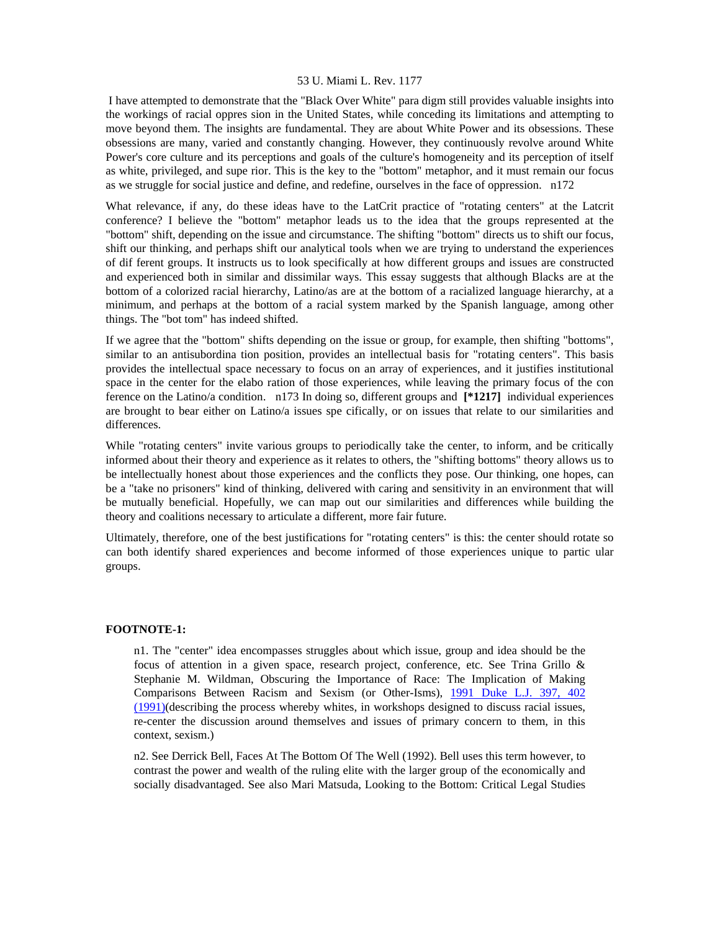I have attempted to demonstrate that the "Black Over White" para digm still provides valuable insights into the workings of racial oppres sion in the United States, while conceding its limitations and attempting to move beyond them. The insights are fundamental. They are about White Power and its obsessions. These obsessions are many, varied and constantly changing. However, they continuously revolve around White Power's core culture and its perceptions and goals of the culture's homogeneity and its perception of itself as white, privileged, and supe rior. This is the key to the "bottom" metaphor, and it must remain our focus as we struggle for social justice and define, and redefine, ourselves in the face of oppression. n172

What relevance, if any, do these ideas have to the LatCrit practice of "rotating centers" at the Latcrit conference? I believe the "bottom" metaphor leads us to the idea that the groups represented at the "bottom" shift, depending on the issue and circumstance. The shifting "bottom" directs us to shift our focus, shift our thinking, and perhaps shift our analytical tools when we are trying to understand the experiences of dif ferent groups. It instructs us to look specifically at how different groups and issues are constructed and experienced both in similar and dissimilar ways. This essay suggests that although Blacks are at the bottom of a colorized racial hierarchy, Latino/as are at the bottom of a racialized language hierarchy, at a minimum, and perhaps at the bottom of a racial system marked by the Spanish language, among other things. The "bot tom" has indeed shifted.

If we agree that the "bottom" shifts depending on the issue or group, for example, then shifting "bottoms", similar to an antisubordina tion position, provides an intellectual basis for "rotating centers". This basis provides the intellectual space necessary to focus on an array of experiences, and it justifies institutional space in the center for the elabo ration of those experiences, while leaving the primary focus of the con ference on the Latino/a condition. n173 In doing so, different groups and **[\*1217]** individual experiences are brought to bear either on Latino/a issues spe cifically, or on issues that relate to our similarities and differences.

While "rotating centers" invite various groups to periodically take the center, to inform, and be critically informed about their theory and experience as it relates to others, the "shifting bottoms" theory allows us to be intellectually honest about those experiences and the conflicts they pose. Our thinking, one hopes, can be a "take no prisoners" kind of thinking, delivered with caring and sensitivity in an environment that will be mutually beneficial. Hopefully, we can map out our similarities and differences while building the theory and coalitions necessary to articulate a different, more fair future.

Ultimately, therefore, one of the best justifications for "rotating centers" is this: the center should rotate so can both identify shared experiences and become informed of those experiences unique to partic ular groups.

### **FOOTNOTE-1:**

n1. The "center" idea encompasses struggles about which issue, group and idea should be the focus of attention in a given space, research project, conference, etc. See Trina Grillo & Stephanie M. Wildman, Obscuring the Importance of Race: The Implication of Making Comparisons Between Racism and Sexism (or Other-Isms), [1991 Duke L.J. 397, 402](http://www.lexis.com/research/xlink?searchtype=get&search=1991%20Duke%20L.J.%20397,at%20402)  [\(1991\)\(](http://www.lexis.com/research/xlink?searchtype=get&search=1991%20Duke%20L.J.%20397,at%20402)describing the process whereby whites, in workshops designed to discuss racial issues, re-center the discussion around themselves and issues of primary concern to them, in this context, sexism.)

n2. See Derrick Bell, Faces At The Bottom Of The Well (1992). Bell uses this term however, to contrast the power and wealth of the ruling elite with the larger group of the economically and socially disadvantaged. See also Mari Matsuda, Looking to the Bottom: Critical Legal Studies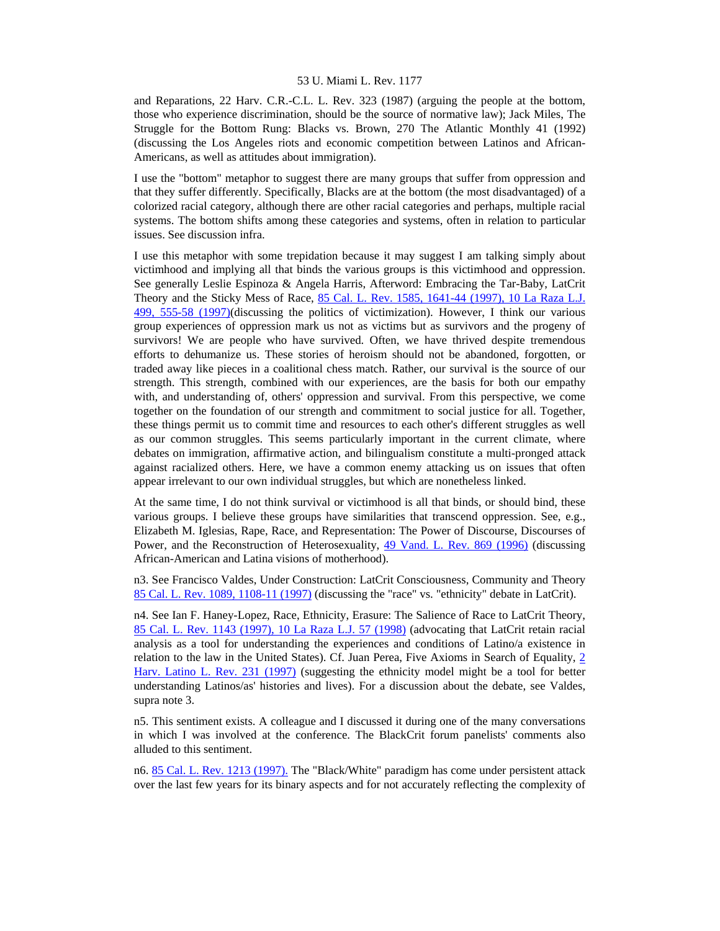and Reparations, 22 Harv. C.R.-C.L. L. Rev. 323 (1987) (arguing the people at the bottom, those who experience discrimination, should be the source of normative law); Jack Miles, The Struggle for the Bottom Rung: Blacks vs. Brown, 270 The Atlantic Monthly 41 (1992) (discussing the Los Angeles riots and economic competition between Latinos and African-Americans, as well as attitudes about immigration).

I use the "bottom" metaphor to suggest there are many groups that suffer from oppression and that they suffer differently. Specifically, Blacks are at the bottom (the most disadvantaged) of a colorized racial category, although there are other racial categories and perhaps, multiple racial systems. The bottom shifts among these categories and systems, often in relation to particular issues. See discussion infra.

I use this metaphor with some trepidation because it may suggest I am talking simply about victimhood and implying all that binds the various groups is this victimhood and oppression. See generally Leslie Espinoza & Angela Harris, Afterword: Embracing the Tar-Baby, LatCrit Theory and the Sticky Mess of Race, [85 Cal. L. Rev. 1585, 1641-44 \(1997\), 10 La Raza L.J.](http://www.lexis.com/research/xlink?searchtype=get&search=85%20Calif.%20L.%20Rev.%201585,at%201641)  [499, 555-58 \(1997\)\(](http://www.lexis.com/research/xlink?searchtype=get&search=85%20Calif.%20L.%20Rev.%201585,at%201641)discussing the politics of victimization). However, I think our various group experiences of oppression mark us not as victims but as survivors and the progeny of survivors! We are people who have survived. Often, we have thrived despite tremendous efforts to dehumanize us. These stories of heroism should not be abandoned, forgotten, or traded away like pieces in a coalitional chess match. Rather, our survival is the source of our strength. This strength, combined with our experiences, are the basis for both our empathy with, and understanding of, others' oppression and survival. From this perspective, we come together on the foundation of our strength and commitment to social justice for all. Together, these things permit us to commit time and resources to each other's different struggles as well as our common struggles. This seems particularly important in the current climate, where debates on immigration, affirmative action, and bilingualism constitute a multi-pronged attack against racialized others. Here, we have a common enemy attacking us on issues that often appear irrelevant to our own individual struggles, but which are nonetheless linked.

At the same time, I do not think survival or victimhood is all that binds, or should bind, these various groups. I believe these groups have similarities that transcend oppression. See, e.g., Elizabeth M. Iglesias, Rape, Race, and Representation: The Power of Discourse, Discourses of Power, and the Reconstruction of Heterosexuality, [49 Vand. L. Rev. 869 \(1996\)](http://www.lexis.com/research/xlink?searchtype=get&search=49%20Vand.%20L.%20Rev.%20869) (discussing African-American and Latina visions of motherhood).

n3. See Francisco Valdes, Under Construction: LatCrit Consciousness, Community and Theory [85 Cal. L. Rev. 1089, 1108-11 \(1997\)](http://www.lexis.com/research/xlink?searchtype=get&search=85%20Calif.%20L.%20Rev.%201089,at%201108) (discussing the "race" vs. "ethnicity" debate in LatCrit).

n4. See Ian F. Haney-Lopez, Race, Ethnicity, Erasure: The Salience of Race to LatCrit Theory, [85 Cal. L. Rev. 1143 \(1997\), 10 La Raza L.J. 57 \(1998\)](http://www.lexis.com/research/xlink?searchtype=get&search=85%20Calif.%20L.%20Rev.%201143) (advocating that LatCrit retain racial analysis as a tool for understanding the experiences and conditions of Latino/a existence in relation to the law in the United States). Cf. Juan Perea, Five Axioms in Search of Equality, [2](http://www.lexis.com/research/xlink?searchtype=get&search=2%20Harv.%20Latino%20L.%20Rev.%20231)  [Harv. Latino L. Rev. 231 \(1997\)](http://www.lexis.com/research/xlink?searchtype=get&search=2%20Harv.%20Latino%20L.%20Rev.%20231) (suggesting the ethnicity model might be a tool for better understanding Latinos/as' histories and lives). For a discussion about the debate, see Valdes, supra note 3.

n5. This sentiment exists. A colleague and I discussed it during one of the many conversations in which I was involved at the conference. The BlackCrit forum panelists' comments also alluded to this sentiment.

n6. [85 Cal. L. Rev. 1213 \(1997\).](http://www.lexis.com/research/xlink?searchtype=get&search=85%20Calif.%20L.%20Rev.%201213) The "Black/White" paradigm has come under persistent attack over the last few years for its binary aspects and for not accurately reflecting the complexity of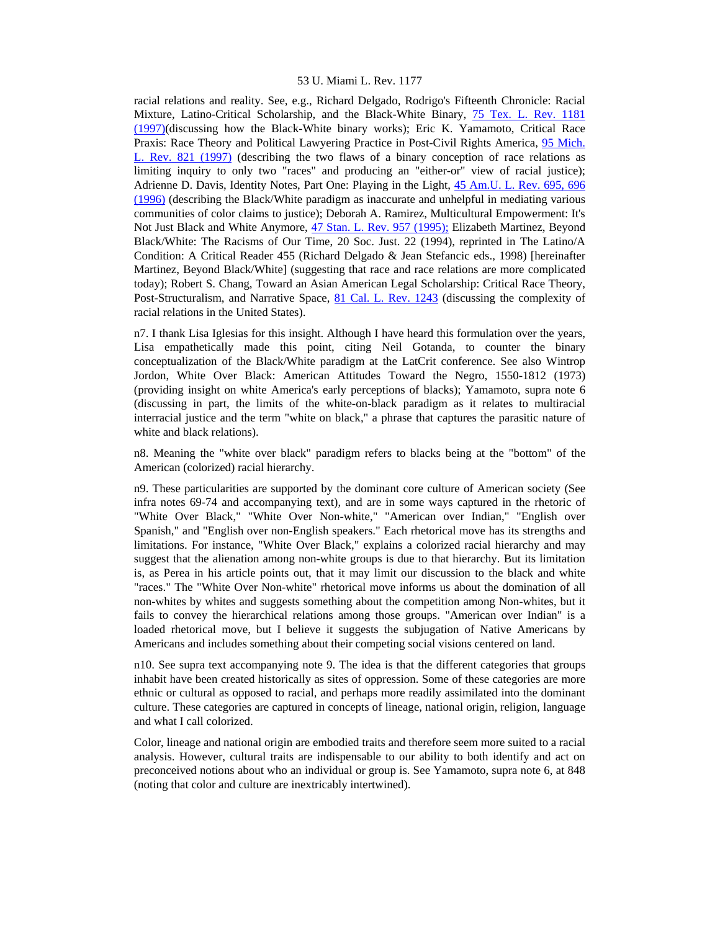racial relations and reality. See, e.g., Richard Delgado, Rodrigo's Fifteenth Chronicle: Racial Mixture, Latino-Critical Scholarship, and the Black-White Binary, [75 Tex. L. Rev. 1181](http://www.lexis.com/research/xlink?searchtype=get&search=75%20Tex.%20L.%20Rev.%201181)  [\(1997\)\(](http://www.lexis.com/research/xlink?searchtype=get&search=75%20Tex.%20L.%20Rev.%201181)discussing how the Black-White binary works); Eric K. Yamamoto, Critical Race Praxis: Race Theory and Political Lawyering Practice in Post-Civil Rights America, [95 Mich.](http://www.lexis.com/research/xlink?searchtype=get&search=95%20Mich.%20L.%20Rev.%20821)  [L. Rev. 821 \(1997\)](http://www.lexis.com/research/xlink?searchtype=get&search=95%20Mich.%20L.%20Rev.%20821) (describing the two flaws of a binary conception of race relations as limiting inquiry to only two "races" and producing an "either-or" view of racial justice); Adrienne D. Davis, Identity Notes, Part One: Playing in the Light, [45 Am.U. L. Rev. 695, 696](http://www.lexis.com/research/xlink?searchtype=get&search=45%20Am.%20U.L.%20Rev.%20695,at%20696)  [\(1996\)](http://www.lexis.com/research/xlink?searchtype=get&search=45%20Am.%20U.L.%20Rev.%20695,at%20696) (describing the Black/White paradigm as inaccurate and unhelpful in mediating various communities of color claims to justice); Deborah A. Ramirez, Multicultural Empowerment: It's Not Just Black and White Anymore, [47 Stan. L. Rev. 957 \(1995\);](http://www.lexis.com/research/xlink?searchtype=get&search=47%20Stan.%20L.%20Rev.%20957) Elizabeth Martinez, Beyond Black/White: The Racisms of Our Time, 20 Soc. Just. 22 (1994), reprinted in The Latino/A Condition: A Critical Reader 455 (Richard Delgado & Jean Stefancic eds., 1998) [hereinafter Martinez, Beyond Black/White] (suggesting that race and race relations are more complicated today); Robert S. Chang, Toward an Asian American Legal Scholarship: Critical Race Theory, Post-Structuralism, and Narrative Space, [81 Cal. L. Rev. 1243](http://www.lexis.com/research/xlink?searchtype=get&search=81%20Calif.%20L.%20Rev.%201243) (discussing the complexity of racial relations in the United States).

n7. I thank Lisa Iglesias for this insight. Although I have heard this formulation over the years, Lisa empathetically made this point, citing Neil Gotanda, to counter the binary conceptualization of the Black/White paradigm at the LatCrit conference. See also Wintrop Jordon, White Over Black: American Attitudes Toward the Negro, 1550-1812 (1973) (providing insight on white America's early perceptions of blacks); Yamamoto, supra note 6 (discussing in part, the limits of the white-on-black paradigm as it relates to multiracial interracial justice and the term "white on black," a phrase that captures the parasitic nature of white and black relations).

n8. Meaning the "white over black" paradigm refers to blacks being at the "bottom" of the American (colorized) racial hierarchy.

n9. These particularities are supported by the dominant core culture of American society (See infra notes 69-74 and accompanying text), and are in some ways captured in the rhetoric of "White Over Black," "White Over Non-white," "American over Indian," "English over Spanish," and "English over non-English speakers." Each rhetorical move has its strengths and limitations. For instance, "White Over Black," explains a colorized racial hierarchy and may suggest that the alienation among non-white groups is due to that hierarchy. But its limitation is, as Perea in his article points out, that it may limit our discussion to the black and white "races." The "White Over Non-white" rhetorical move informs us about the domination of all non-whites by whites and suggests something about the competition among Non-whites, but it fails to convey the hierarchical relations among those groups. "American over Indian" is a loaded rhetorical move, but I believe it suggests the subjugation of Native Americans by Americans and includes something about their competing social visions centered on land.

n10. See supra text accompanying note 9. The idea is that the different categories that groups inhabit have been created historically as sites of oppression. Some of these categories are more ethnic or cultural as opposed to racial, and perhaps more readily assimilated into the dominant culture. These categories are captured in concepts of lineage, national origin, religion, language and what I call colorized.

Color, lineage and national origin are embodied traits and therefore seem more suited to a racial analysis. However, cultural traits are indispensable to our ability to both identify and act on preconceived notions about who an individual or group is. See Yamamoto, supra note 6, at 848 (noting that color and culture are inextricably intertwined).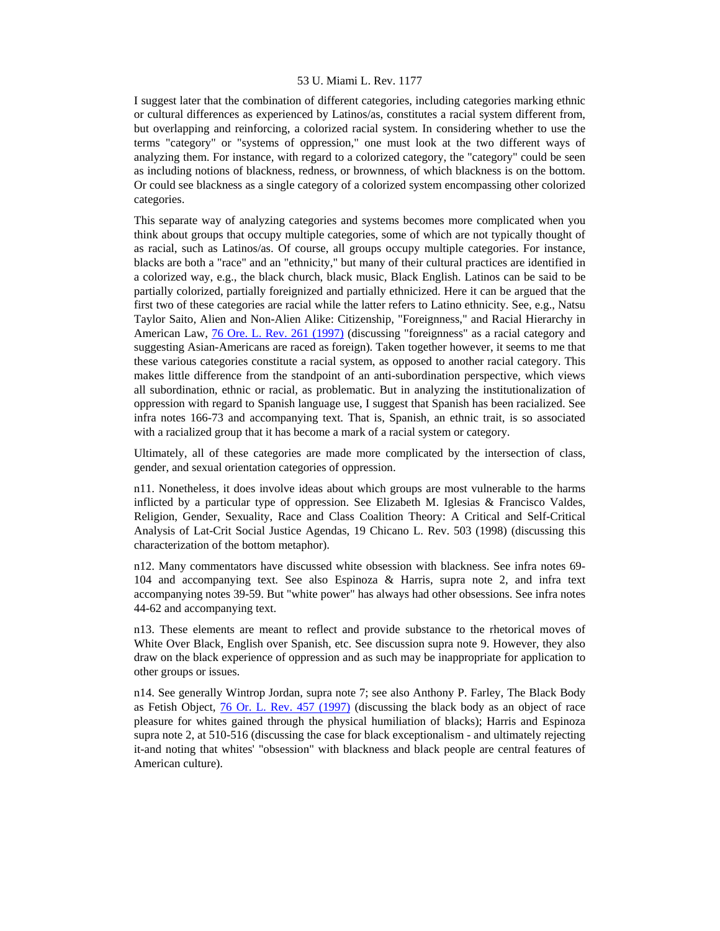I suggest later that the combination of different categories, including categories marking ethnic or cultural differences as experienced by Latinos/as, constitutes a racial system different from, but overlapping and reinforcing, a colorized racial system. In considering whether to use the terms "category" or "systems of oppression," one must look at the two different ways of analyzing them. For instance, with regard to a colorized category, the "category" could be seen as including notions of blackness, redness, or brownness, of which blackness is on the bottom. Or could see blackness as a single category of a colorized system encompassing other colorized categories.

This separate way of analyzing categories and systems becomes more complicated when you think about groups that occupy multiple categories, some of which are not typically thought of as racial, such as Latinos/as. Of course, all groups occupy multiple categories. For instance, blacks are both a "race" and an "ethnicity," but many of their cultural practices are identified in a colorized way, e.g., the black church, black music, Black English. Latinos can be said to be partially colorized, partially foreignized and partially ethnicized. Here it can be argued that the first two of these categories are racial while the latter refers to Latino ethnicity. See, e.g., Natsu Taylor Saito, Alien and Non-Alien Alike: Citizenship, "Foreignness," and Racial Hierarchy in American Law,  $\frac{76 \text{ Ore}}{261}$ . Rev. 261 (1997) (discussing "foreignness" as a racial category and suggesting Asian-Americans are raced as foreign). Taken together however, it seems to me that these various categories constitute a racial system, as opposed to another racial category. This makes little difference from the standpoint of an anti-subordination perspective, which views all subordination, ethnic or racial, as problematic. But in analyzing the institutionalization of oppression with regard to Spanish language use, I suggest that Spanish has been racialized. See infra notes 166-73 and accompanying text. That is, Spanish, an ethnic trait, is so associated with a racialized group that it has become a mark of a racial system or category.

Ultimately, all of these categories are made more complicated by the intersection of class, gender, and sexual orientation categories of oppression.

n11. Nonetheless, it does involve ideas about which groups are most vulnerable to the harms inflicted by a particular type of oppression. See Elizabeth M. Iglesias  $\&$  Francisco Valdes, Religion, Gender, Sexuality, Race and Class Coalition Theory: A Critical and Self-Critical Analysis of Lat-Crit Social Justice Agendas, 19 Chicano L. Rev. 503 (1998) (discussing this characterization of the bottom metaphor).

n12. Many commentators have discussed white obsession with blackness. See infra notes 69- 104 and accompanying text. See also Espinoza & Harris, supra note 2, and infra text accompanying notes 39-59. But "white power" has always had other obsessions. See infra notes 44-62 and accompanying text.

n13. These elements are meant to reflect and provide substance to the rhetorical moves of White Over Black, English over Spanish, etc. See discussion supra note 9. However, they also draw on the black experience of oppression and as such may be inappropriate for application to other groups or issues.

n14. See generally Wintrop Jordan, supra note 7; see also Anthony P. Farley, The Black Body as Fetish Object, [76 Or. L. Rev. 457 \(1997\)](http://www.lexis.com/research/xlink?searchtype=get&search=76%20Or.%20L.%20Rev.%20457) (discussing the black body as an object of race pleasure for whites gained through the physical humiliation of blacks); Harris and Espinoza supra note 2, at 510-516 (discussing the case for black exceptionalism - and ultimately rejecting it-and noting that whites' "obsession" with blackness and black people are central features of American culture).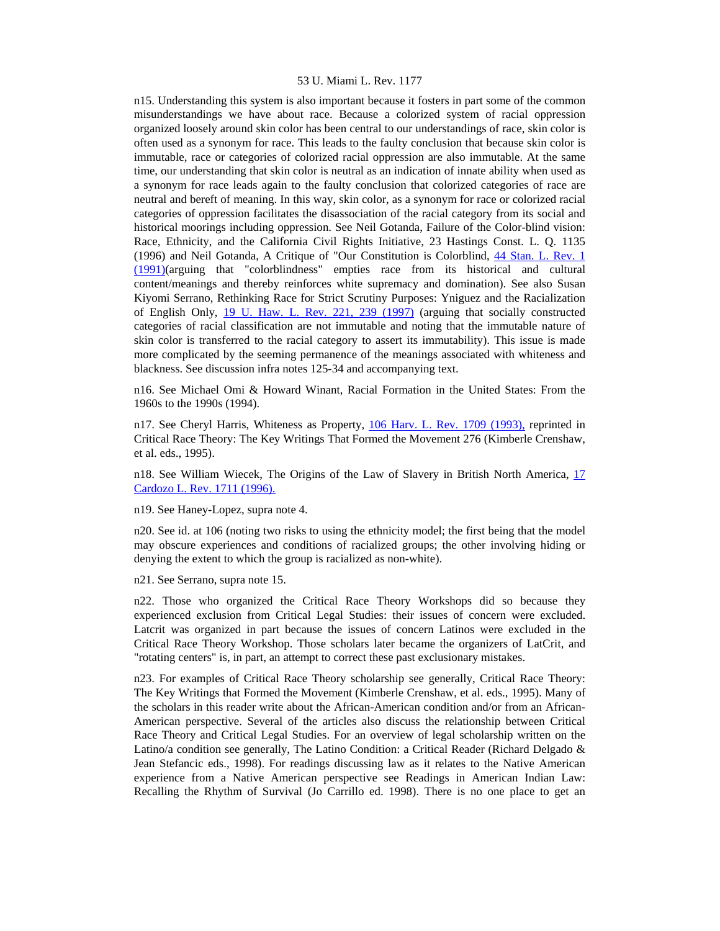n15. Understanding this system is also important because it fosters in part some of the common misunderstandings we have about race. Because a colorized system of racial oppression organized loosely around skin color has been central to our understandings of race, skin color is often used as a synonym for race. This leads to the faulty conclusion that because skin color is immutable, race or categories of colorized racial oppression are also immutable. At the same time, our understanding that skin color is neutral as an indication of innate ability when used as a synonym for race leads again to the faulty conclusion that colorized categories of race are neutral and bereft of meaning. In this way, skin color, as a synonym for race or colorized racial categories of oppression facilitates the disassociation of the racial category from its social and historical moorings including oppression. See Neil Gotanda, Failure of the Color-blind vision: Race, Ethnicity, and the California Civil Rights Initiative, 23 Hastings Const. L. Q. 1135 (1996) and Neil Gotanda, A Critique of "Our Constitution is Colorblind, [44 Stan. L. Rev. 1](http://www.lexis.com/research/xlink?searchtype=get&search=44%20Stan.%20L.%20Rev.%201)  [\(1991\)\(](http://www.lexis.com/research/xlink?searchtype=get&search=44%20Stan.%20L.%20Rev.%201)arguing that "colorblindness" empties race from its historical and cultural content/meanings and thereby reinforces white supremacy and domination). See also Susan Kiyomi Serrano, Rethinking Race for Strict Scrutiny Purposes: Yniguez and the Racialization of English Only, [19 U. Haw. L. Rev. 221, 239 \(1997\)](http://www.lexis.com/research/xlink?searchtype=get&search=19%20Hawaii%20L.%20Rev.%20221,at%20239) (arguing that socially constructed categories of racial classification are not immutable and noting that the immutable nature of skin color is transferred to the racial category to assert its immutability). This issue is made more complicated by the seeming permanence of the meanings associated with whiteness and blackness. See discussion infra notes 125-34 and accompanying text.

n16. See Michael Omi & Howard Winant, Racial Formation in the United States: From the 1960s to the 1990s (1994).

n17. See Cheryl Harris, Whiteness as Property, [106 Harv. L. Rev. 1709 \(1993\),](http://www.lexis.com/research/xlink?searchtype=get&search=106%20Harv.%20L.%20Rev.%201709) reprinted in Critical Race Theory: The Key Writings That Formed the Movement 276 (Kimberle Crenshaw, et al. eds., 1995).

n18. See William Wiecek, The Origins of the Law of Slavery in British North America, [17](http://www.lexis.com/research/xlink?searchtype=get&search=17%20Cardozo%20L.%20Rev.%201711)  [Cardozo L. Rev. 1711 \(1996\).](http://www.lexis.com/research/xlink?searchtype=get&search=17%20Cardozo%20L.%20Rev.%201711)

n19. See Haney-Lopez, supra note 4.

n20. See id. at 106 (noting two risks to using the ethnicity model; the first being that the model may obscure experiences and conditions of racialized groups; the other involving hiding or denying the extent to which the group is racialized as non-white).

n21. See Serrano, supra note 15.

n22. Those who organized the Critical Race Theory Workshops did so because they experienced exclusion from Critical Legal Studies: their issues of concern were excluded. Latcrit was organized in part because the issues of concern Latinos were excluded in the Critical Race Theory Workshop. Those scholars later became the organizers of LatCrit, and "rotating centers" is, in part, an attempt to correct these past exclusionary mistakes.

n23. For examples of Critical Race Theory scholarship see generally, Critical Race Theory: The Key Writings that Formed the Movement (Kimberle Crenshaw, et al. eds., 1995). Many of the scholars in this reader write about the African-American condition and/or from an African-American perspective. Several of the articles also discuss the relationship between Critical Race Theory and Critical Legal Studies. For an overview of legal scholarship written on the Latino/a condition see generally, The Latino Condition: a Critical Reader (Richard Delgado & Jean Stefancic eds., 1998). For readings discussing law as it relates to the Native American experience from a Native American perspective see Readings in American Indian Law: Recalling the Rhythm of Survival (Jo Carrillo ed. 1998). There is no one place to get an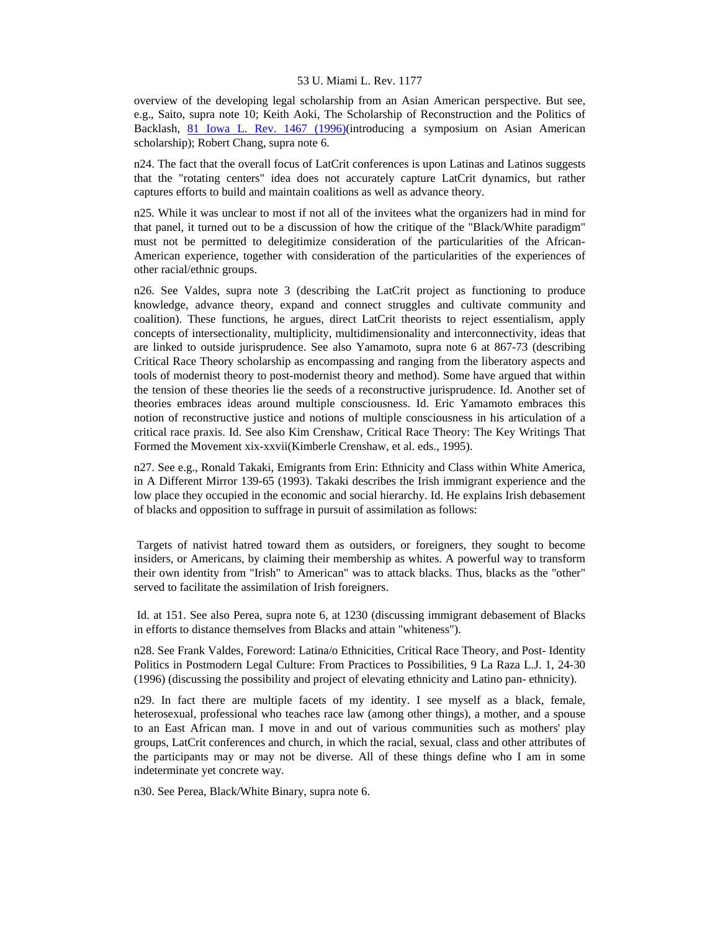overview of the developing legal scholarship from an Asian American perspective. But see, e.g., Saito, supra note 10; Keith Aoki, The Scholarship of Reconstruction and the Politics of Backlash, [81 Iowa L. Rev. 1467 \(1996\)](http://www.lexis.com/research/xlink?searchtype=get&search=81%20Iowa%20L.%20Rev.%201467)(introducing a symposium on Asian American scholarship); Robert Chang, supra note 6.

n24. The fact that the overall focus of LatCrit conferences is upon Latinas and Latinos suggests that the "rotating centers" idea does not accurately capture LatCrit dynamics, but rather captures efforts to build and maintain coalitions as well as advance theory.

n25. While it was unclear to most if not all of the invitees what the organizers had in mind for that panel, it turned out to be a discussion of how the critique of the "Black/White paradigm" must not be permitted to delegitimize consideration of the particularities of the African-American experience, together with consideration of the particularities of the experiences of other racial/ethnic groups.

n26. See Valdes, supra note 3 (describing the LatCrit project as functioning to produce knowledge, advance theory, expand and connect struggles and cultivate community and coalition). These functions, he argues, direct LatCrit theorists to reject essentialism, apply concepts of intersectionality, multiplicity, multidimensionality and interconnectivity, ideas that are linked to outside jurisprudence. See also Yamamoto, supra note 6 at 867-73 (describing Critical Race Theory scholarship as encompassing and ranging from the liberatory aspects and tools of modernist theory to post-modernist theory and method). Some have argued that within the tension of these theories lie the seeds of a reconstructive jurisprudence. Id. Another set of theories embraces ideas around multiple consciousness. Id. Eric Yamamoto embraces this notion of reconstructive justice and notions of multiple consciousness in his articulation of a critical race praxis. Id. See also Kim Crenshaw, Critical Race Theory: The Key Writings That Formed the Movement xix-xxvii(Kimberle Crenshaw, et al. eds., 1995).

n27. See e.g., Ronald Takaki, Emigrants from Erin: Ethnicity and Class within White America, in A Different Mirror 139-65 (1993). Takaki describes the Irish immigrant experience and the low place they occupied in the economic and social hierarchy. Id. He explains Irish debasement of blacks and opposition to suffrage in pursuit of assimilation as follows:

 Targets of nativist hatred toward them as outsiders, or foreigners, they sought to become insiders, or Americans, by claiming their membership as whites. A powerful way to transform their own identity from "Irish" to American" was to attack blacks. Thus, blacks as the "other" served to facilitate the assimilation of Irish foreigners.

 Id. at 151. See also Perea, supra note 6, at 1230 (discussing immigrant debasement of Blacks in efforts to distance themselves from Blacks and attain "whiteness").

n28. See Frank Valdes, Foreword: Latina/o Ethnicities, Critical Race Theory, and Post- Identity Politics in Postmodern Legal Culture: From Practices to Possibilities, 9 La Raza L.J. 1, 24-30 (1996) (discussing the possibility and project of elevating ethnicity and Latino pan- ethnicity).

n29. In fact there are multiple facets of my identity. I see myself as a black, female, heterosexual, professional who teaches race law (among other things), a mother, and a spouse to an East African man. I move in and out of various communities such as mothers' play groups, LatCrit conferences and church, in which the racial, sexual, class and other attributes of the participants may or may not be diverse. All of these things define who I am in some indeterminate yet concrete way.

n30. See Perea, Black/White Binary, supra note 6.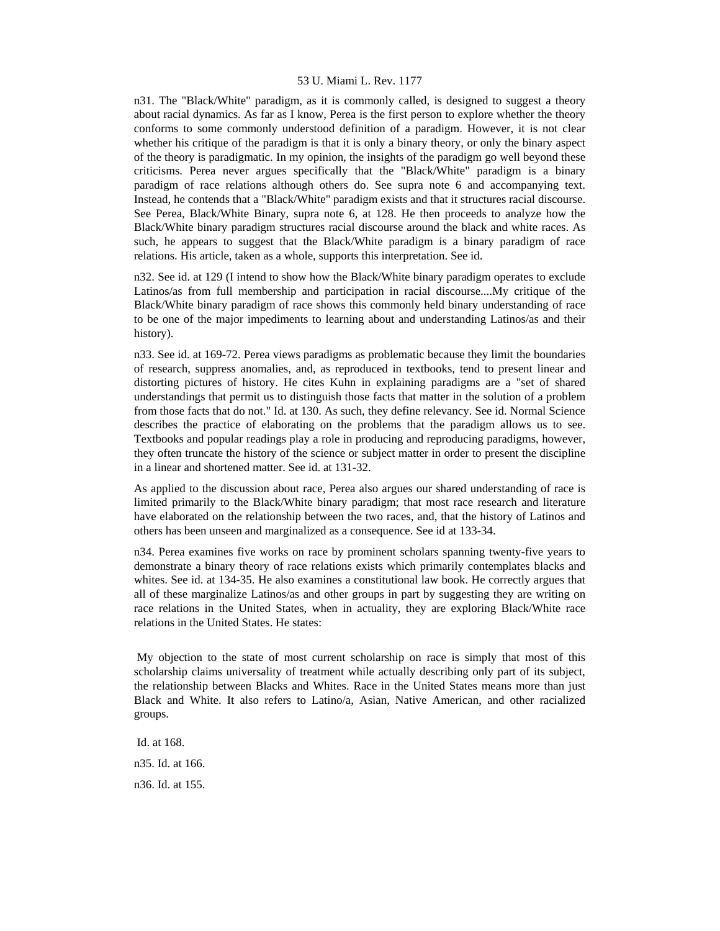n31. The "Black/White" paradigm, as it is commonly called, is designed to suggest a theory about racial dynamics. As far as I know, Perea is the first person to explore whether the theory conforms to some commonly understood definition of a paradigm. However, it is not clear whether his critique of the paradigm is that it is only a binary theory, or only the binary aspect of the theory is paradigmatic. In my opinion, the insights of the paradigm go well beyond these criticisms. Perea never argues specifically that the "Black/White" paradigm is a binary paradigm of race relations although others do. See supra note 6 and accompanying text. Instead, he contends that a "Black/White" paradigm exists and that it structures racial discourse. See Perea, Black/White Binary, supra note 6, at 128. He then proceeds to analyze how the Black/White binary paradigm structures racial discourse around the black and white races. As such, he appears to suggest that the Black/White paradigm is a binary paradigm of race relations. His article, taken as a whole, supports this interpretation. See id.

n32. See id. at 129 (I intend to show how the Black/White binary paradigm operates to exclude Latinos/as from full membership and participation in racial discourse....My critique of the Black/White binary paradigm of race shows this commonly held binary understanding of race to be one of the major impediments to learning about and understanding Latinos/as and their history).

n33. See id. at 169-72. Perea views paradigms as problematic because they limit the boundaries of research, suppress anomalies, and, as reproduced in textbooks, tend to present linear and distorting pictures of history. He cites Kuhn in explaining paradigms are a "set of shared understandings that permit us to distinguish those facts that matter in the solution of a problem from those facts that do not." Id. at 130. As such, they define relevancy. See id. Normal Science describes the practice of elaborating on the problems that the paradigm allows us to see. Textbooks and popular readings play a role in producing and reproducing paradigms, however, they often truncate the history of the science or subject matter in order to present the discipline in a linear and shortened matter. See id. at 131-32.

As applied to the discussion about race, Perea also argues our shared understanding of race is limited primarily to the Black/White binary paradigm; that most race research and literature have elaborated on the relationship between the two races, and, that the history of Latinos and others has been unseen and marginalized as a consequence. See id at 133-34.

n34. Perea examines five works on race by prominent scholars spanning twenty-five years to demonstrate a binary theory of race relations exists which primarily contemplates blacks and whites. See id. at 134-35. He also examines a constitutional law book. He correctly argues that all of these marginalize Latinos/as and other groups in part by suggesting they are writing on race relations in the United States, when in actuality, they are exploring Black/White race relations in the United States. He states:

 My objection to the state of most current scholarship on race is simply that most of this scholarship claims universality of treatment while actually describing only part of its subject, the relationship between Blacks and Whites. Race in the United States means more than just Black and White. It also refers to Latino/a, Asian, Native American, and other racialized groups.

 Id. at 168. n35. Id. at 166. n36. Id. at 155.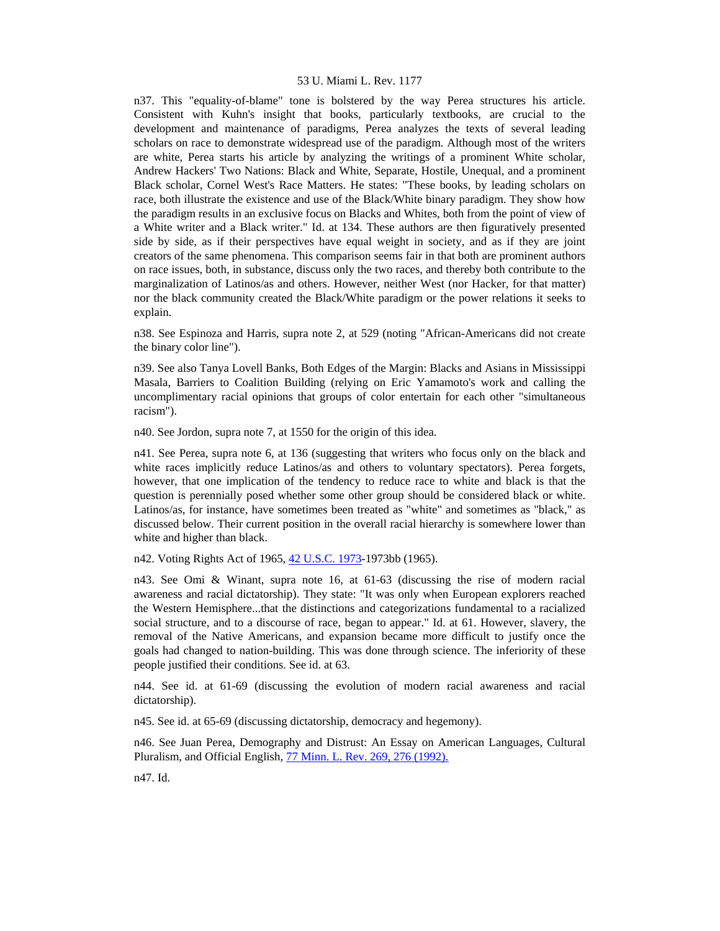n37. This "equality-of-blame" tone is bolstered by the way Perea structures his article. Consistent with Kuhn's insight that books, particularly textbooks, are crucial to the development and maintenance of paradigms, Perea analyzes the texts of several leading scholars on race to demonstrate widespread use of the paradigm. Although most of the writers are white, Perea starts his article by analyzing the writings of a prominent White scholar, Andrew Hackers' Two Nations: Black and White, Separate, Hostile, Unequal, and a prominent Black scholar, Cornel West's Race Matters. He states: "These books, by leading scholars on race, both illustrate the existence and use of the Black/White binary paradigm. They show how the paradigm results in an exclusive focus on Blacks and Whites, both from the point of view of a White writer and a Black writer." Id. at 134. These authors are then figuratively presented side by side, as if their perspectives have equal weight in society, and as if they are joint creators of the same phenomena. This comparison seems fair in that both are prominent authors on race issues, both, in substance, discuss only the two races, and thereby both contribute to the marginalization of Latinos/as and others. However, neither West (nor Hacker, for that matter) nor the black community created the Black/White paradigm or the power relations it seeks to explain.

n38. See Espinoza and Harris, supra note 2, at 529 (noting "African-Americans did not create the binary color line").

n39. See also Tanya Lovell Banks, Both Edges of the Margin: Blacks and Asians in Mississippi Masala, Barriers to Coalition Building (relying on Eric Yamamoto's work and calling the uncomplimentary racial opinions that groups of color entertain for each other "simultaneous racism").

n40. See Jordon, supra note 7, at 1550 for the origin of this idea.

n41. See Perea, supra note 6, at 136 (suggesting that writers who focus only on the black and white races implicitly reduce Latinos/as and others to voluntary spectators). Perea forgets, however, that one implication of the tendency to reduce race to white and black is that the question is perennially posed whether some other group should be considered black or white. Latinos/as, for instance, have sometimes been treated as "white" and sometimes as "black," as discussed below. Their current position in the overall racial hierarchy is somewhere lower than white and higher than black.

n42. Voting Rights Act of 1965, [42 U.S.C. 1973-](http://www.lexis.com/research/xlink?searchtype=get&search=42%20USC%201973)1973bb (1965).

n43. See Omi & Winant, supra note 16, at 61-63 (discussing the rise of modern racial awareness and racial dictatorship). They state: "It was only when European explorers reached the Western Hemisphere...that the distinctions and categorizations fundamental to a racialized social structure, and to a discourse of race, began to appear." Id. at 61. However, slavery, the removal of the Native Americans, and expansion became more difficult to justify once the goals had changed to nation-building. This was done through science. The inferiority of these people justified their conditions. See id. at 63.

n44. See id. at 61-69 (discussing the evolution of modern racial awareness and racial dictatorship).

n45. See id. at 65-69 (discussing dictatorship, democracy and hegemony).

n46. See Juan Perea, Demography and Distrust: An Essay on American Languages, Cultural Pluralism, and Official English, [77 Minn. L. Rev. 269, 276 \(1992\).](http://www.lexis.com/research/xlink?searchtype=get&search=77%20Minn.%20L.%20Rev.%20269,at%20276)

n47. Id.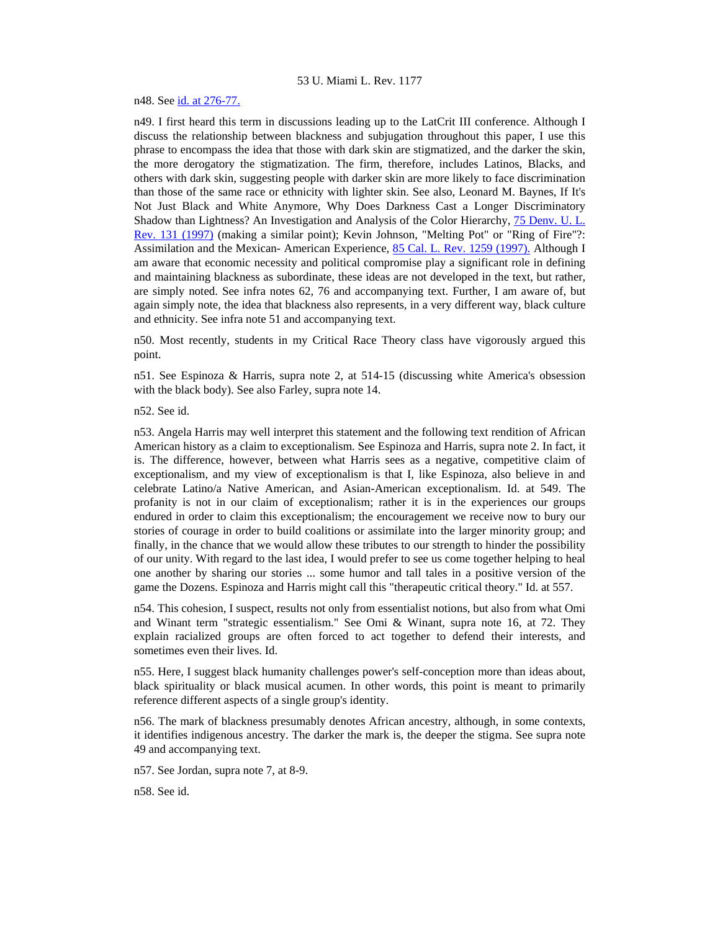n48. See [id. at 276-77.](http://www.lexis.com/research/xlink?searchtype=get&search=77%20Minn.%20L.%20Rev.%20269,at%20276)

n49. I first heard this term in discussions leading up to the LatCrit III conference. Although I discuss the relationship between blackness and subjugation throughout this paper, I use this phrase to encompass the idea that those with dark skin are stigmatized, and the darker the skin, the more derogatory the stigmatization. The firm, therefore, includes Latinos, Blacks, and others with dark skin, suggesting people with darker skin are more likely to face discrimination than those of the same race or ethnicity with lighter skin. See also, Leonard M. Baynes, If It's Not Just Black and White Anymore, Why Does Darkness Cast a Longer Discriminatory Shadow than Lightness? An Investigation and Analysis of the Color Hierarchy, [75 Denv. U. L.](http://www.lexis.com/research/xlink?searchtype=get&search=75%20Denv.%20U.L.%20Rev.%20131)  [Rev. 131 \(1997\)](http://www.lexis.com/research/xlink?searchtype=get&search=75%20Denv.%20U.L.%20Rev.%20131) (making a similar point); Kevin Johnson, "Melting Pot" or "Ring of Fire"?: Assimilation and the Mexican- American Experience, [85 Cal. L. Rev. 1259 \(1997\).](http://www.lexis.com/research/xlink?searchtype=get&search=85%20Calif.%20L.%20Rev.%201259) Although I am aware that economic necessity and political compromise play a significant role in defining and maintaining blackness as subordinate, these ideas are not developed in the text, but rather, are simply noted. See infra notes 62, 76 and accompanying text. Further, I am aware of, but again simply note, the idea that blackness also represents, in a very different way, black culture and ethnicity. See infra note 51 and accompanying text.

n50. Most recently, students in my Critical Race Theory class have vigorously argued this point.

n51. See Espinoza & Harris, supra note 2, at 514-15 (discussing white America's obsession with the black body). See also Farley, supra note 14.

n52. See id.

n53. Angela Harris may well interpret this statement and the following text rendition of African American history as a claim to exceptionalism. See Espinoza and Harris, supra note 2. In fact, it is. The difference, however, between what Harris sees as a negative, competitive claim of exceptionalism, and my view of exceptionalism is that I, like Espinoza, also believe in and celebrate Latino/a Native American, and Asian-American exceptionalism. Id. at 549. The profanity is not in our claim of exceptionalism; rather it is in the experiences our groups endured in order to claim this exceptionalism; the encouragement we receive now to bury our stories of courage in order to build coalitions or assimilate into the larger minority group; and finally, in the chance that we would allow these tributes to our strength to hinder the possibility of our unity. With regard to the last idea, I would prefer to see us come together helping to heal one another by sharing our stories ... some humor and tall tales in a positive version of the game the Dozens. Espinoza and Harris might call this "therapeutic critical theory." Id. at 557.

n54. This cohesion, I suspect, results not only from essentialist notions, but also from what Omi and Winant term "strategic essentialism." See Omi & Winant, supra note 16, at 72. They explain racialized groups are often forced to act together to defend their interests, and sometimes even their lives. Id.

n55. Here, I suggest black humanity challenges power's self-conception more than ideas about, black spirituality or black musical acumen. In other words, this point is meant to primarily reference different aspects of a single group's identity.

n56. The mark of blackness presumably denotes African ancestry, although, in some contexts, it identifies indigenous ancestry. The darker the mark is, the deeper the stigma. See supra note 49 and accompanying text.

n57. See Jordan, supra note 7, at 8-9.

n58. See id.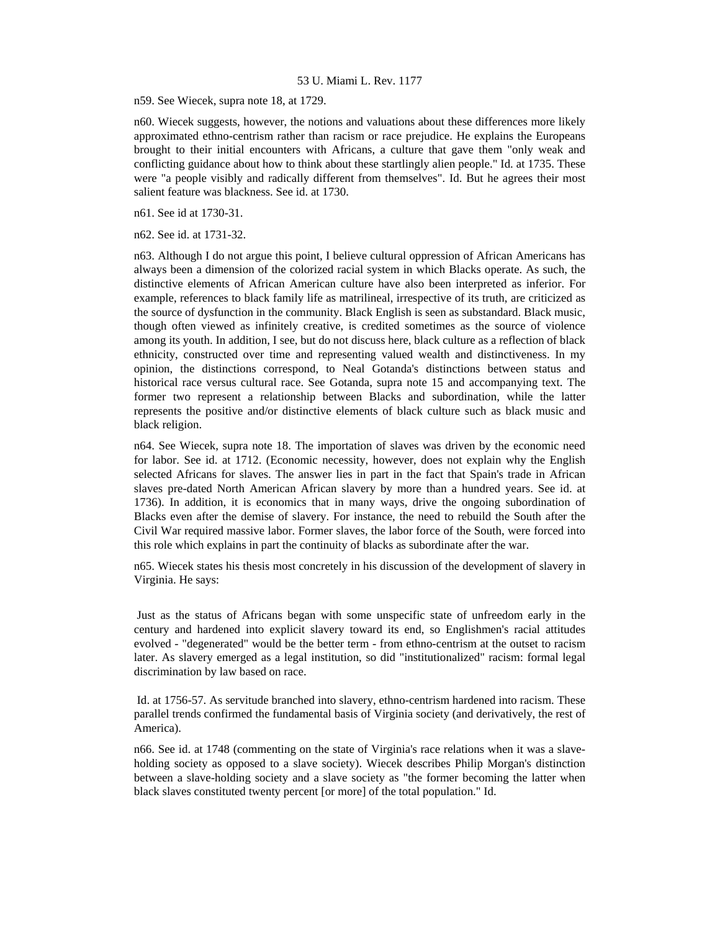n59. See Wiecek, supra note 18, at 1729.

n60. Wiecek suggests, however, the notions and valuations about these differences more likely approximated ethno-centrism rather than racism or race prejudice. He explains the Europeans brought to their initial encounters with Africans, a culture that gave them "only weak and conflicting guidance about how to think about these startlingly alien people." Id. at 1735. These were "a people visibly and radically different from themselves". Id. But he agrees their most salient feature was blackness. See id. at 1730.

n61. See id at 1730-31.

n62. See id. at 1731-32.

n63. Although I do not argue this point, I believe cultural oppression of African Americans has always been a dimension of the colorized racial system in which Blacks operate. As such, the distinctive elements of African American culture have also been interpreted as inferior. For example, references to black family life as matrilineal, irrespective of its truth, are criticized as the source of dysfunction in the community. Black English is seen as substandard. Black music, though often viewed as infinitely creative, is credited sometimes as the source of violence among its youth. In addition, I see, but do not discuss here, black culture as a reflection of black ethnicity, constructed over time and representing valued wealth and distinctiveness. In my opinion, the distinctions correspond, to Neal Gotanda's distinctions between status and historical race versus cultural race. See Gotanda, supra note 15 and accompanying text. The former two represent a relationship between Blacks and subordination, while the latter represents the positive and/or distinctive elements of black culture such as black music and black religion.

n64. See Wiecek, supra note 18. The importation of slaves was driven by the economic need for labor. See id. at 1712. (Economic necessity, however, does not explain why the English selected Africans for slaves. The answer lies in part in the fact that Spain's trade in African slaves pre-dated North American African slavery by more than a hundred years. See id. at 1736). In addition, it is economics that in many ways, drive the ongoing subordination of Blacks even after the demise of slavery. For instance, the need to rebuild the South after the Civil War required massive labor. Former slaves, the labor force of the South, were forced into this role which explains in part the continuity of blacks as subordinate after the war.

n65. Wiecek states his thesis most concretely in his discussion of the development of slavery in Virginia. He says:

 Just as the status of Africans began with some unspecific state of unfreedom early in the century and hardened into explicit slavery toward its end, so Englishmen's racial attitudes evolved - "degenerated" would be the better term - from ethno-centrism at the outset to racism later. As slavery emerged as a legal institution, so did "institutionalized" racism: formal legal discrimination by law based on race.

 Id. at 1756-57. As servitude branched into slavery, ethno-centrism hardened into racism. These parallel trends confirmed the fundamental basis of Virginia society (and derivatively, the rest of America).

n66. See id. at 1748 (commenting on the state of Virginia's race relations when it was a slaveholding society as opposed to a slave society). Wiecek describes Philip Morgan's distinction between a slave-holding society and a slave society as "the former becoming the latter when black slaves constituted twenty percent [or more] of the total population." Id.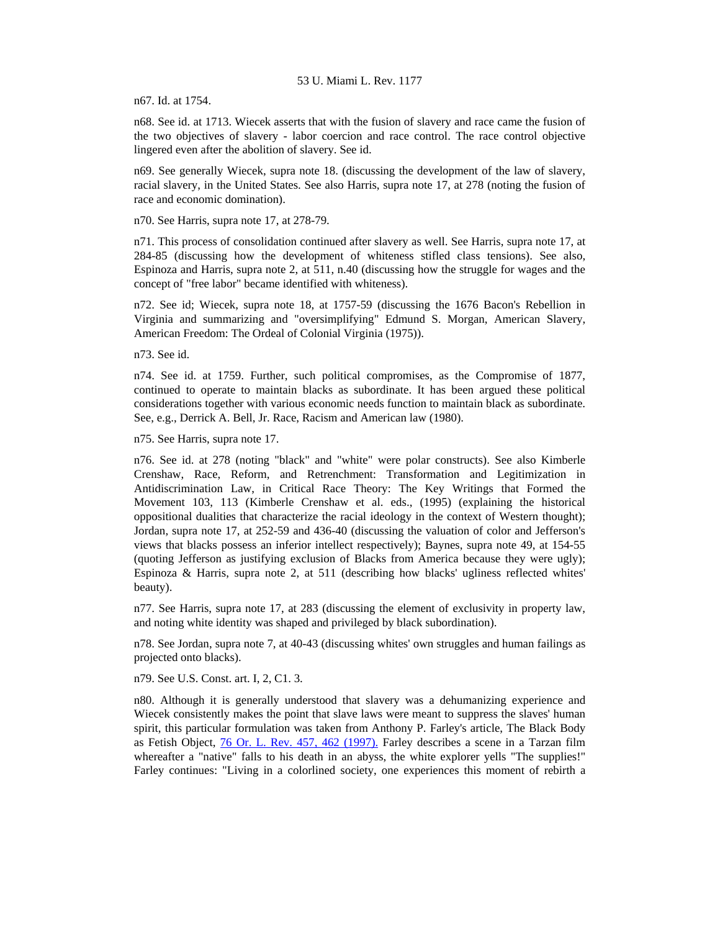n67. Id. at 1754.

n68. See id. at 1713. Wiecek asserts that with the fusion of slavery and race came the fusion of the two objectives of slavery - labor coercion and race control. The race control objective lingered even after the abolition of slavery. See id.

n69. See generally Wiecek, supra note 18. (discussing the development of the law of slavery, racial slavery, in the United States. See also Harris, supra note 17, at 278 (noting the fusion of race and economic domination).

n70. See Harris, supra note 17, at 278-79.

n71. This process of consolidation continued after slavery as well. See Harris, supra note 17, at 284-85 (discussing how the development of whiteness stifled class tensions). See also, Espinoza and Harris, supra note 2, at 511, n.40 (discussing how the struggle for wages and the concept of "free labor" became identified with whiteness).

n72. See id; Wiecek, supra note 18, at 1757-59 (discussing the 1676 Bacon's Rebellion in Virginia and summarizing and "oversimplifying" Edmund S. Morgan, American Slavery, American Freedom: The Ordeal of Colonial Virginia (1975)).

n73. See id.

n74. See id. at 1759. Further, such political compromises, as the Compromise of 1877, continued to operate to maintain blacks as subordinate. It has been argued these political considerations together with various economic needs function to maintain black as subordinate. See, e.g., Derrick A. Bell, Jr. Race, Racism and American law (1980).

n75. See Harris, supra note 17.

n76. See id. at 278 (noting "black" and "white" were polar constructs). See also Kimberle Crenshaw, Race, Reform, and Retrenchment: Transformation and Legitimization in Antidiscrimination Law, in Critical Race Theory: The Key Writings that Formed the Movement 103, 113 (Kimberle Crenshaw et al. eds., (1995) (explaining the historical oppositional dualities that characterize the racial ideology in the context of Western thought); Jordan, supra note 17, at 252-59 and 436-40 (discussing the valuation of color and Jefferson's views that blacks possess an inferior intellect respectively); Baynes, supra note 49, at 154-55 (quoting Jefferson as justifying exclusion of Blacks from America because they were ugly); Espinoza & Harris, supra note 2, at 511 (describing how blacks' ugliness reflected whites' beauty).

n77. See Harris, supra note 17, at 283 (discussing the element of exclusivity in property law, and noting white identity was shaped and privileged by black subordination).

n78. See Jordan, supra note 7, at 40-43 (discussing whites' own struggles and human failings as projected onto blacks).

n79. See U.S. Const. art. I, 2, C1. 3.

n80. Although it is generally understood that slavery was a dehumanizing experience and Wiecek consistently makes the point that slave laws were meant to suppress the slaves' human spirit, this particular formulation was taken from Anthony P. Farley's article, The Black Body as Fetish Object, [76 Or. L. Rev. 457, 462 \(1997\).](http://www.lexis.com/research/xlink?searchtype=get&search=76%20Or.%20L.%20Rev.%20457,at%20462) Farley describes a scene in a Tarzan film whereafter a "native" falls to his death in an abyss, the white explorer yells "The supplies!" Farley continues: "Living in a colorlined society, one experiences this moment of rebirth a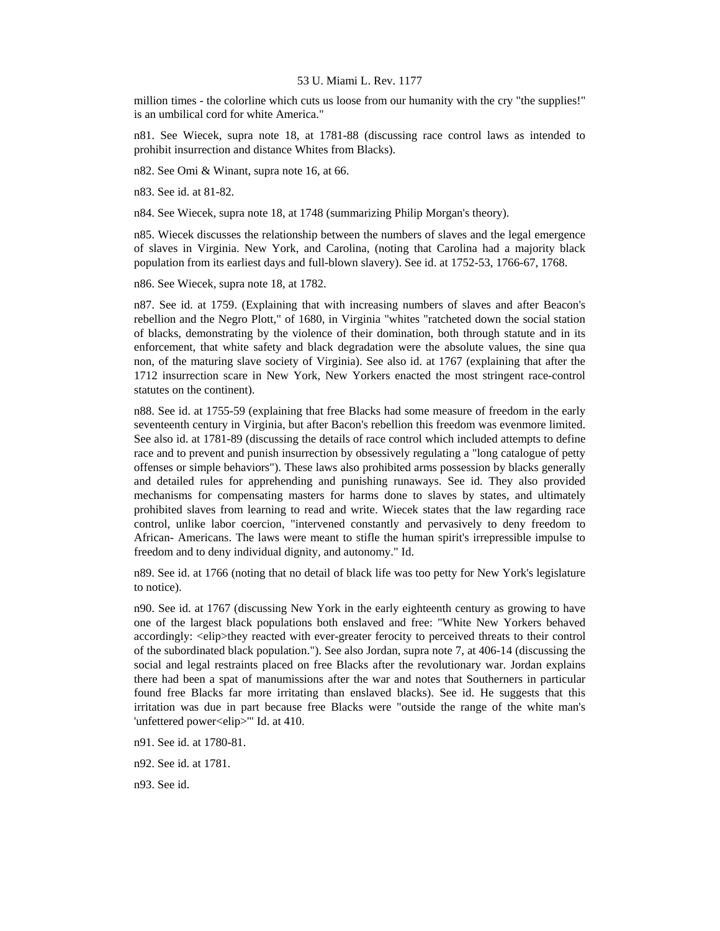million times - the colorline which cuts us loose from our humanity with the cry "the supplies!" is an umbilical cord for white America."

n81. See Wiecek, supra note 18, at 1781-88 (discussing race control laws as intended to prohibit insurrection and distance Whites from Blacks).

n82. See Omi & Winant, supra note 16, at 66.

n83. See id. at 81-82.

n84. See Wiecek, supra note 18, at 1748 (summarizing Philip Morgan's theory).

n85. Wiecek discusses the relationship between the numbers of slaves and the legal emergence of slaves in Virginia. New York, and Carolina, (noting that Carolina had a majority black population from its earliest days and full-blown slavery). See id. at 1752-53, 1766-67, 1768.

n86. See Wiecek, supra note 18, at 1782.

n87. See id. at 1759. (Explaining that with increasing numbers of slaves and after Beacon's rebellion and the Negro Plott," of 1680, in Virginia "whites "ratcheted down the social station of blacks, demonstrating by the violence of their domination, both through statute and in its enforcement, that white safety and black degradation were the absolute values, the sine qua non, of the maturing slave society of Virginia). See also id. at 1767 (explaining that after the 1712 insurrection scare in New York, New Yorkers enacted the most stringent race-control statutes on the continent).

n88. See id. at 1755-59 (explaining that free Blacks had some measure of freedom in the early seventeenth century in Virginia, but after Bacon's rebellion this freedom was evenmore limited. See also id. at 1781-89 (discussing the details of race control which included attempts to define race and to prevent and punish insurrection by obsessively regulating a "long catalogue of petty offenses or simple behaviors"). These laws also prohibited arms possession by blacks generally and detailed rules for apprehending and punishing runaways. See id. They also provided mechanisms for compensating masters for harms done to slaves by states, and ultimately prohibited slaves from learning to read and write. Wiecek states that the law regarding race control, unlike labor coercion, "intervened constantly and pervasively to deny freedom to African- Americans. The laws were meant to stifle the human spirit's irrepressible impulse to freedom and to deny individual dignity, and autonomy." Id.

n89. See id. at 1766 (noting that no detail of black life was too petty for New York's legislature to notice).

n90. See id. at 1767 (discussing New York in the early eighteenth century as growing to have one of the largest black populations both enslaved and free: "White New Yorkers behaved accordingly: <elip>they reacted with ever-greater ferocity to perceived threats to their control of the subordinated black population."). See also Jordan, supra note 7, at 406-14 (discussing the social and legal restraints placed on free Blacks after the revolutionary war. Jordan explains there had been a spat of manumissions after the war and notes that Southerners in particular found free Blacks far more irritating than enslaved blacks). See id. He suggests that this irritation was due in part because free Blacks were "outside the range of the white man's 'unfettered power<elip>'" Id. at 410.

n91. See id. at 1780-81.

n92. See id. at 1781.

n93. See id.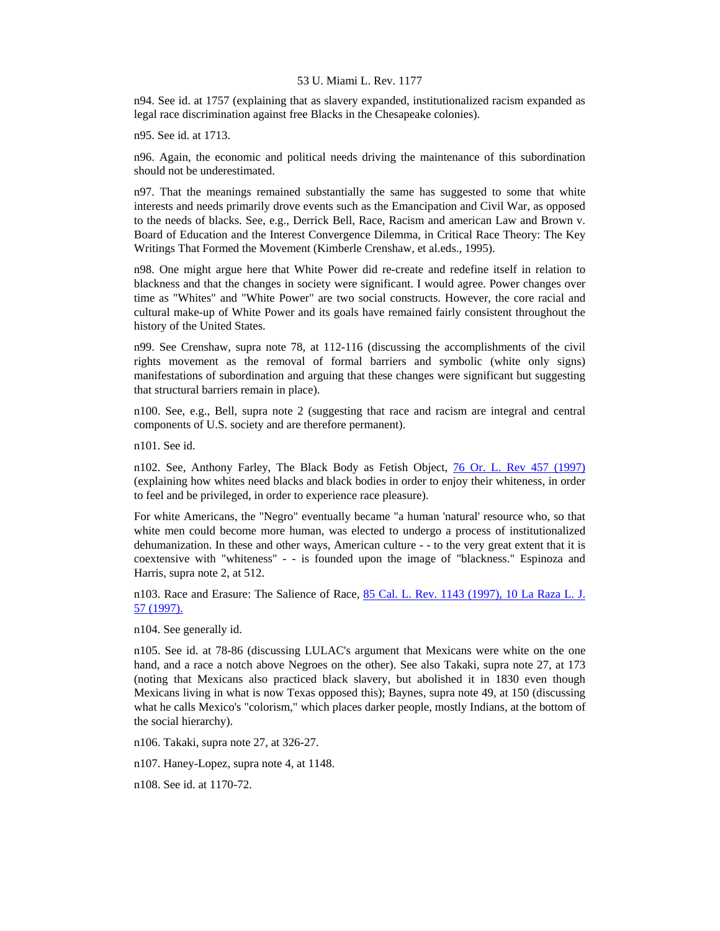n94. See id. at 1757 (explaining that as slavery expanded, institutionalized racism expanded as legal race discrimination against free Blacks in the Chesapeake colonies).

n95. See id. at 1713.

n96. Again, the economic and political needs driving the maintenance of this subordination should not be underestimated.

n97. That the meanings remained substantially the same has suggested to some that white interests and needs primarily drove events such as the Emancipation and Civil War, as opposed to the needs of blacks. See, e.g., Derrick Bell, Race, Racism and american Law and Brown v. Board of Education and the Interest Convergence Dilemma, in Critical Race Theory: The Key Writings That Formed the Movement (Kimberle Crenshaw, et al.eds., 1995).

n98. One might argue here that White Power did re-create and redefine itself in relation to blackness and that the changes in society were significant. I would agree. Power changes over time as "Whites" and "White Power" are two social constructs. However, the core racial and cultural make-up of White Power and its goals have remained fairly consistent throughout the history of the United States.

n99. See Crenshaw, supra note 78, at 112-116 (discussing the accomplishments of the civil rights movement as the removal of formal barriers and symbolic (white only signs) manifestations of subordination and arguing that these changes were significant but suggesting that structural barriers remain in place).

n100. See, e.g., Bell, supra note 2 (suggesting that race and racism are integral and central components of U.S. society and are therefore permanent).

n101. See id.

n102. See, Anthony Farley, The Black Body as Fetish Object, [76 Or. L. Rev 457 \(1997\)](http://www.lexis.com/research/xlink?searchtype=get&search=76%20Or.%20L.%20Rev.%20457) (explaining how whites need blacks and black bodies in order to enjoy their whiteness, in order to feel and be privileged, in order to experience race pleasure).

For white Americans, the "Negro" eventually became "a human 'natural' resource who, so that white men could become more human, was elected to undergo a process of institutionalized dehumanization. In these and other ways, American culture - - to the very great extent that it is coextensive with "whiteness" - - is founded upon the image of "blackness." Espinoza and Harris, supra note 2, at 512.

n103. Race and Erasure: The Salience of Race, [85 Cal. L. Rev. 1143 \(1997\), 10 La Raza L. J.](http://www.lexis.com/research/xlink?searchtype=get&search=85%20Calif.%20L.%20Rev.%201143)  [57 \(1997\).](http://www.lexis.com/research/xlink?searchtype=get&search=85%20Calif.%20L.%20Rev.%201143)

n104. See generally id.

n105. See id. at 78-86 (discussing LULAC's argument that Mexicans were white on the one hand, and a race a notch above Negroes on the other). See also Takaki, supra note 27, at 173 (noting that Mexicans also practiced black slavery, but abolished it in 1830 even though Mexicans living in what is now Texas opposed this); Baynes, supra note 49, at 150 (discussing what he calls Mexico's "colorism," which places darker people, mostly Indians, at the bottom of the social hierarchy).

n106. Takaki, supra note 27, at 326-27.

n107. Haney-Lopez, supra note 4, at 1148.

n108. See id. at 1170-72.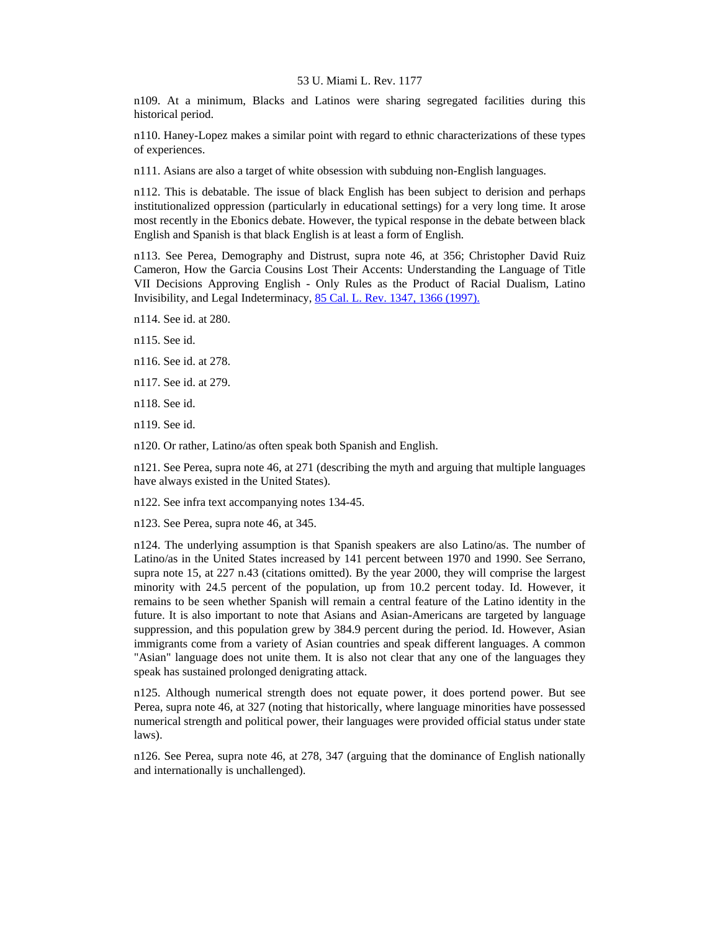n109. At a minimum, Blacks and Latinos were sharing segregated facilities during this historical period.

n110. Haney-Lopez makes a similar point with regard to ethnic characterizations of these types of experiences.

n111. Asians are also a target of white obsession with subduing non-English languages.

n112. This is debatable. The issue of black English has been subject to derision and perhaps institutionalized oppression (particularly in educational settings) for a very long time. It arose most recently in the Ebonics debate. However, the typical response in the debate between black English and Spanish is that black English is at least a form of English.

n113. See Perea, Demography and Distrust, supra note 46, at 356; Christopher David Ruiz Cameron, How the Garcia Cousins Lost Their Accents: Understanding the Language of Title VII Decisions Approving English - Only Rules as the Product of Racial Dualism, Latino Invisibility, and Legal Indeterminacy, [85 Cal. L. Rev. 1347, 1366 \(1997\).](http://www.lexis.com/research/xlink?searchtype=get&search=85%20Calif.%20L.%20Rev.%201347,at%201366)

n114. See id. at 280.

n115. See id.

n116. See id. at 278.

n117. See id. at 279.

n118. See id.

n119. See id.

n120. Or rather, Latino/as often speak both Spanish and English.

n121. See Perea, supra note 46, at 271 (describing the myth and arguing that multiple languages have always existed in the United States).

n122. See infra text accompanying notes 134-45.

n123. See Perea, supra note 46, at 345.

n124. The underlying assumption is that Spanish speakers are also Latino/as. The number of Latino/as in the United States increased by 141 percent between 1970 and 1990. See Serrano, supra note 15, at 227 n.43 (citations omitted). By the year 2000, they will comprise the largest minority with 24.5 percent of the population, up from 10.2 percent today. Id. However, it remains to be seen whether Spanish will remain a central feature of the Latino identity in the future. It is also important to note that Asians and Asian-Americans are targeted by language suppression, and this population grew by 384.9 percent during the period. Id. However, Asian immigrants come from a variety of Asian countries and speak different languages. A common "Asian" language does not unite them. It is also not clear that any one of the languages they speak has sustained prolonged denigrating attack.

n125. Although numerical strength does not equate power, it does portend power. But see Perea, supra note 46, at 327 (noting that historically, where language minorities have possessed numerical strength and political power, their languages were provided official status under state laws).

n126. See Perea, supra note 46, at 278, 347 (arguing that the dominance of English nationally and internationally is unchallenged).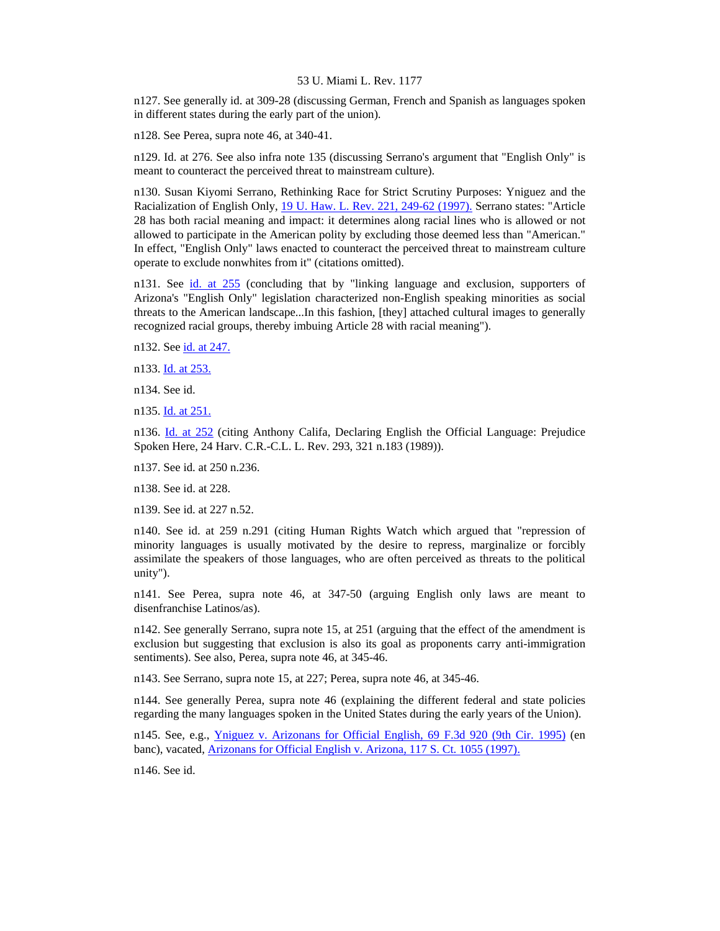n127. See generally id. at 309-28 (discussing German, French and Spanish as languages spoken in different states during the early part of the union).

n128. See Perea, supra note 46, at 340-41.

n129. Id. at 276. See also infra note 135 (discussing Serrano's argument that "English Only" is meant to counteract the perceived threat to mainstream culture).

n130. Susan Kiyomi Serrano, Rethinking Race for Strict Scrutiny Purposes: Yniguez and the Racialization of English Only, [19 U. Haw. L. Rev. 221, 249-62 \(1997\).](http://www.lexis.com/research/xlink?searchtype=get&search=19%20Hawaii%20L.%20Rev.%20221,at%20249) Serrano states: "Article 28 has both racial meaning and impact: it determines along racial lines who is allowed or not allowed to participate in the American polity by excluding those deemed less than "American." In effect, "English Only" laws enacted to counteract the perceived threat to mainstream culture operate to exclude nonwhites from it" (citations omitted).

n131. See [id. at 255](http://www.lexis.com/research/xlink?searchtype=get&search=19%20Hawaii%20L.%20Rev.%20221,at%20255) (concluding that by "linking language and exclusion, supporters of Arizona's "English Only" legislation characterized non-English speaking minorities as social threats to the American landscape...In this fashion, [they] attached cultural images to generally recognized racial groups, thereby imbuing Article 28 with racial meaning").

n132. See [id. at 247.](http://www.lexis.com/research/xlink?searchtype=get&search=19%20Hawaii%20L.%20Rev.%20221,at%20247)

n133. [Id. at 253.](http://www.lexis.com/research/xlink?searchtype=get&search=19%20Hawaii%20L.%20Rev.%20221,at%20253)

n134. See id.

n135. [Id. at 251.](http://www.lexis.com/research/xlink?searchtype=get&search=19%20Hawaii%20L.%20Rev.%20221,at%20251)

n136. [Id. at 252](http://www.lexis.com/research/xlink?searchtype=get&search=19%20Hawaii%20L.%20Rev.%20221,at%20252) (citing Anthony Califa, Declaring English the Official Language: Prejudice Spoken Here, 24 Harv. C.R.-C.L. L. Rev. 293, 321 n.183 (1989)).

n137. See id. at 250 n.236.

n138. See id. at 228.

n139. See id. at 227 n.52.

n140. See id. at 259 n.291 (citing Human Rights Watch which argued that "repression of minority languages is usually motivated by the desire to repress, marginalize or forcibly assimilate the speakers of those languages, who are often perceived as threats to the political unity").

n141. See Perea, supra note 46, at 347-50 (arguing English only laws are meant to disenfranchise Latinos/as).

n142. See generally Serrano, supra note 15, at 251 (arguing that the effect of the amendment is exclusion but suggesting that exclusion is also its goal as proponents carry anti-immigration sentiments). See also, Perea, supra note 46, at 345-46.

n143. See Serrano, supra note 15, at 227; Perea, supra note 46, at 345-46.

n144. See generally Perea, supra note 46 (explaining the different federal and state policies regarding the many languages spoken in the United States during the early years of the Union).

n145. See, e.g., [Yniguez v. Arizonans for Official English, 69 F.3d 920 \(9th Cir. 1995\)](http://www.lexis.com/research/xlink?searchtype=get&search=69%20F.3d%20920) (en banc), vacated, [Arizonans for Official English v. Arizona, 117 S. Ct. 1055 \(1997\).](http://www.lexis.com/research/xlink?searchtype=get&search=117%20S.%20Ct.%201055)

n146. See id.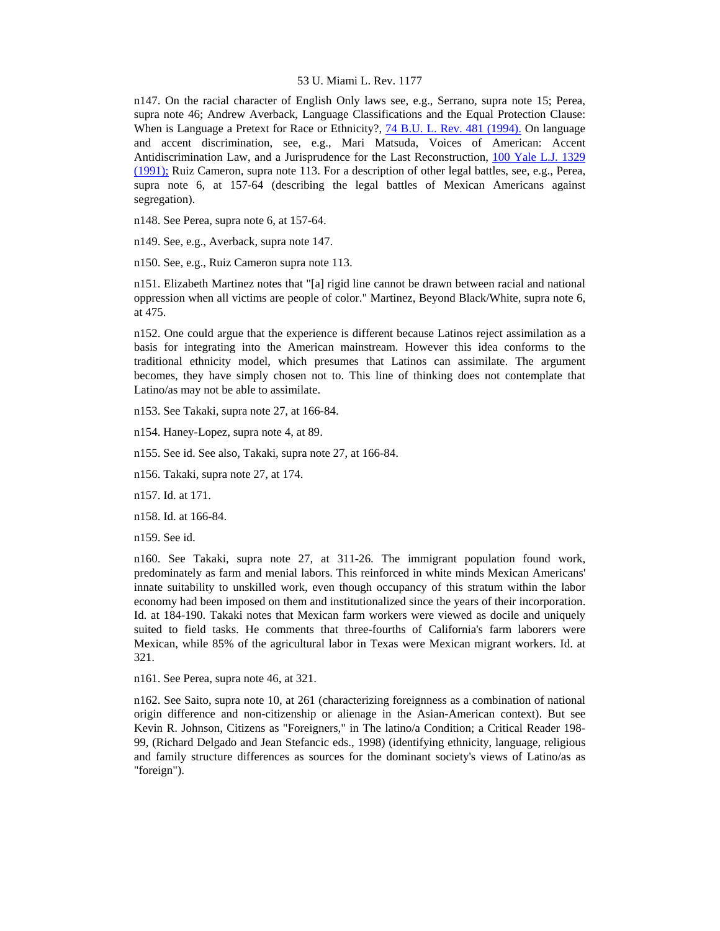n147. On the racial character of English Only laws see, e.g., Serrano, supra note 15; Perea, supra note 46; Andrew Averback, Language Classifications and the Equal Protection Clause: When is Language a Pretext for Race or Ethnicity?, [74 B.U. L. Rev. 481 \(1994\).](http://www.lexis.com/research/xlink?searchtype=get&search=74%20B.U.L.%20Rev.%20481) On language and accent discrimination, see, e.g., Mari Matsuda, Voices of American: Accent Antidiscrimination Law, and a Jurisprudence for the Last Reconstruction, [100 Yale L.J. 1329](http://www.lexis.com/research/xlink?searchtype=get&search=100%20Yale%20L.J.%201329)  [\(1991\);](http://www.lexis.com/research/xlink?searchtype=get&search=100%20Yale%20L.J.%201329) Ruiz Cameron, supra note 113. For a description of other legal battles, see, e.g., Perea, supra note 6, at 157-64 (describing the legal battles of Mexican Americans against segregation).

n148. See Perea, supra note 6, at 157-64.

n149. See, e.g., Averback, supra note 147.

n150. See, e.g., Ruiz Cameron supra note 113.

n151. Elizabeth Martinez notes that "[a] rigid line cannot be drawn between racial and national oppression when all victims are people of color." Martinez, Beyond Black/White, supra note 6, at 475.

n152. One could argue that the experience is different because Latinos reject assimilation as a basis for integrating into the American mainstream. However this idea conforms to the traditional ethnicity model, which presumes that Latinos can assimilate. The argument becomes, they have simply chosen not to. This line of thinking does not contemplate that Latino/as may not be able to assimilate.

n153. See Takaki, supra note 27, at 166-84.

n154. Haney-Lopez, supra note 4, at 89.

n155. See id. See also, Takaki, supra note 27, at 166-84.

n156. Takaki, supra note 27, at 174.

n157. Id. at 171.

n158. Id. at 166-84.

n159. See id.

n160. See Takaki, supra note 27, at 311-26. The immigrant population found work, predominately as farm and menial labors. This reinforced in white minds Mexican Americans' innate suitability to unskilled work, even though occupancy of this stratum within the labor economy had been imposed on them and institutionalized since the years of their incorporation. Id. at 184-190. Takaki notes that Mexican farm workers were viewed as docile and uniquely suited to field tasks. He comments that three-fourths of California's farm laborers were Mexican, while 85% of the agricultural labor in Texas were Mexican migrant workers. Id. at 321.

n161. See Perea, supra note 46, at 321.

n162. See Saito, supra note 10, at 261 (characterizing foreignness as a combination of national origin difference and non-citizenship or alienage in the Asian-American context). But see Kevin R. Johnson, Citizens as "Foreigners," in The latino/a Condition; a Critical Reader 198- 99, (Richard Delgado and Jean Stefancic eds., 1998) (identifying ethnicity, language, religious and family structure differences as sources for the dominant society's views of Latino/as as "foreign").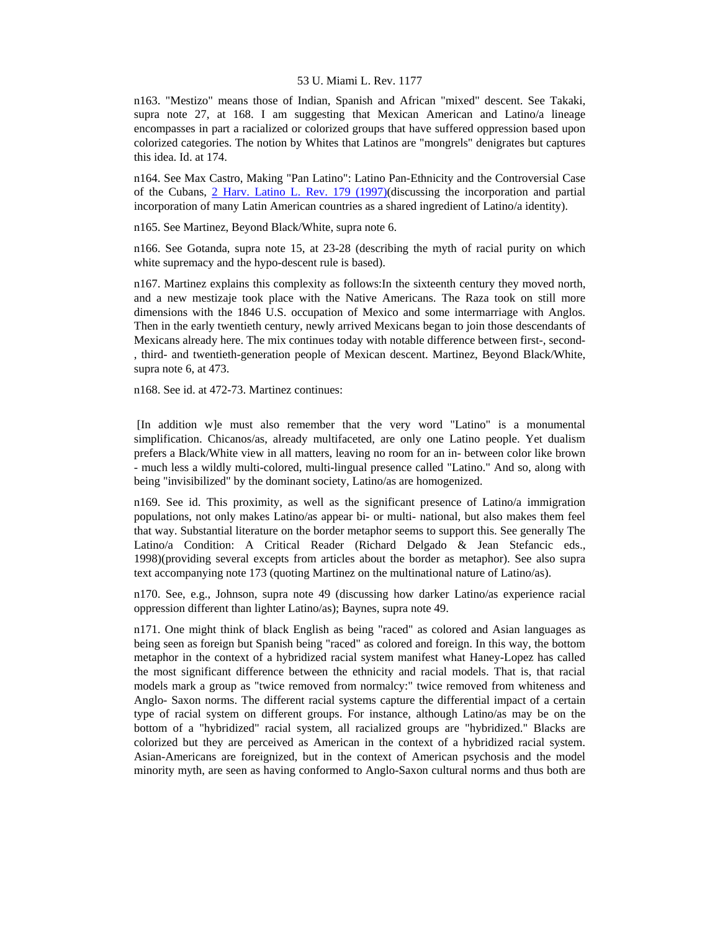n163. "Mestizo" means those of Indian, Spanish and African "mixed" descent. See Takaki, supra note 27, at 168. I am suggesting that Mexican American and Latino/a lineage encompasses in part a racialized or colorized groups that have suffered oppression based upon colorized categories. The notion by Whites that Latinos are "mongrels" denigrates but captures this idea. Id. at 174.

n164. See Max Castro, Making "Pan Latino": Latino Pan-Ethnicity and the Controversial Case of the Cubans, [2 Harv. Latino L. Rev. 179 \(1997\)](http://www.lexis.com/research/xlink?searchtype=get&search=2%20Harv.%20Latino%20L.%20Rev.%20179)(discussing the incorporation and partial incorporation of many Latin American countries as a shared ingredient of Latino/a identity).

n165. See Martinez, Beyond Black/White, supra note 6.

n166. See Gotanda, supra note 15, at 23-28 (describing the myth of racial purity on which white supremacy and the hypo-descent rule is based).

n167. Martinez explains this complexity as follows:In the sixteenth century they moved north, and a new mestizaje took place with the Native Americans. The Raza took on still more dimensions with the 1846 U.S. occupation of Mexico and some intermarriage with Anglos. Then in the early twentieth century, newly arrived Mexicans began to join those descendants of Mexicans already here. The mix continues today with notable difference between first-, second- , third- and twentieth-generation people of Mexican descent. Martinez, Beyond Black/White, supra note 6, at 473.

n168. See id. at 472-73. Martinez continues:

 [In addition w]e must also remember that the very word "Latino" is a monumental simplification. Chicanos/as, already multifaceted, are only one Latino people. Yet dualism prefers a Black/White view in all matters, leaving no room for an in- between color like brown - much less a wildly multi-colored, multi-lingual presence called "Latino." And so, along with being "invisibilized" by the dominant society, Latino/as are homogenized.

n169. See id. This proximity, as well as the significant presence of Latino/a immigration populations, not only makes Latino/as appear bi- or multi- national, but also makes them feel that way. Substantial literature on the border metaphor seems to support this. See generally The Latino/a Condition: A Critical Reader (Richard Delgado & Jean Stefancic eds., 1998)(providing several excepts from articles about the border as metaphor). See also supra text accompanying note 173 (quoting Martinez on the multinational nature of Latino/as).

n170. See, e.g., Johnson, supra note 49 (discussing how darker Latino/as experience racial oppression different than lighter Latino/as); Baynes, supra note 49.

n171. One might think of black English as being "raced" as colored and Asian languages as being seen as foreign but Spanish being "raced" as colored and foreign. In this way, the bottom metaphor in the context of a hybridized racial system manifest what Haney-Lopez has called the most significant difference between the ethnicity and racial models. That is, that racial models mark a group as "twice removed from normalcy:" twice removed from whiteness and Anglo- Saxon norms. The different racial systems capture the differential impact of a certain type of racial system on different groups. For instance, although Latino/as may be on the bottom of a "hybridized" racial system, all racialized groups are "hybridized." Blacks are colorized but they are perceived as American in the context of a hybridized racial system. Asian-Americans are foreignized, but in the context of American psychosis and the model minority myth, are seen as having conformed to Anglo-Saxon cultural norms and thus both are